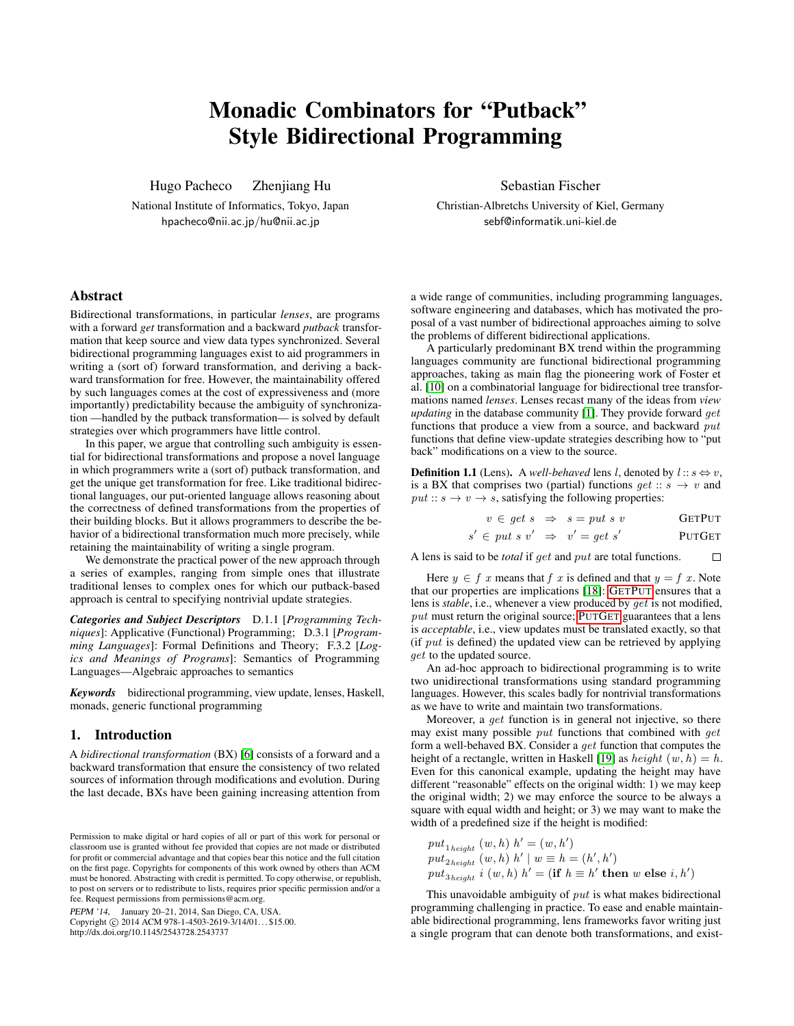# Monadic Combinators for "Putback" Style Bidirectional Programming

Hugo Pacheco Zhenjiang Hu

National Institute of Informatics, Tokyo, Japan hpacheco@nii.ac.jp/hu@nii.ac.jp

Sebastian Fischer

Christian-Albretchs University of Kiel, Germany sebf@informatik.uni-kiel.de

# Abstract

Bidirectional transformations, in particular *lenses*, are programs with a forward *get* transformation and a backward *putback* transformation that keep source and view data types synchronized. Several bidirectional programming languages exist to aid programmers in writing a (sort of) forward transformation, and deriving a backward transformation for free. However, the maintainability offered by such languages comes at the cost of expressiveness and (more importantly) predictability because the ambiguity of synchronization —handled by the putback transformation— is solved by default strategies over which programmers have little control.

In this paper, we argue that controlling such ambiguity is essential for bidirectional transformations and propose a novel language in which programmers write a (sort of) putback transformation, and get the unique get transformation for free. Like traditional bidirectional languages, our put-oriented language allows reasoning about the correctness of defined transformations from the properties of their building blocks. But it allows programmers to describe the behavior of a bidirectional transformation much more precisely, while retaining the maintainability of writing a single program.

We demonstrate the practical power of the new approach through a series of examples, ranging from simple ones that illustrate traditional lenses to complex ones for which our putback-based approach is central to specifying nontrivial update strategies.

*Categories and Subject Descriptors* D.1.1 [*Programming Techniques*]: Applicative (Functional) Programming; D.3.1 [*Programming Languages*]: Formal Definitions and Theory; F.3.2 [*Logics and Meanings of Programs*]: Semantics of Programming Languages—Algebraic approaches to semantics

*Keywords* bidirectional programming, view update, lenses, Haskell, monads, generic functional programming

## 1. Introduction

A *bidirectional transformation* (BX) [\[6\]](#page-11-0) consists of a forward and a backward transformation that ensure the consistency of two related sources of information through modifications and evolution. During the last decade, BXs have been gaining increasing attention from

PEPM '14, January 20–21, 2014, San Diego, CA, USA.

Copyright © 2014 ACM 978-1-4503-2619-3/14/01... \$15.00. http://dx.doi.org/10.1145/2543728.2543737

a wide range of communities, including programming languages, software engineering and databases, which has motivated the proposal of a vast number of bidirectional approaches aiming to solve the problems of different bidirectional applications.

A particularly predominant BX trend within the programming languages community are functional bidirectional programming approaches, taking as main flag the pioneering work of Foster et al. [\[10\]](#page-11-1) on a combinatorial language for bidirectional tree transformations named *lenses*. Lenses recast many of the ideas from *view updating* in the database community [\[1\]](#page-11-2). They provide forward get functions that produce a view from a source, and backward put functions that define view-update strategies describing how to "put back" modifications on a view to the source.

**Definition 1.1** (Lens). A *well-behaved* lens *l*, denoted by  $l :: s \Leftrightarrow v$ , is a BX that comprises two (partial) functions  $get :: s \rightarrow v$  and  $put :: s \rightarrow v \rightarrow s$ , satisfying the following properties:

<span id="page-0-1"></span><span id="page-0-0"></span>
$$
v \in get \ s \Rightarrow s = put \ s \ v
$$
 GETPUT

$$
s' \in put \ s \ v' \ \Rightarrow \ v' = get \ s'
$$
PUTGET

A lens is said to be *total* if get and put are total functions.  $\Box$ 

Here  $y \in f$  x means that f x is defined and that  $y = f$  x. Note that our properties are implications [\[18\]](#page-11-3): GETP[UT](#page-0-0) ensures that a lens is *stable*, i.e., whenever a view produced by get is not modified,  $put$  must return the original source; P[UT](#page-0-1)GET guarantees that a lens is *acceptable*, i.e., view updates must be translated exactly, so that (if  $put$  is defined) the updated view can be retrieved by applying get to the updated source.

An ad-hoc approach to bidirectional programming is to write two unidirectional transformations using standard programming languages. However, this scales badly for nontrivial transformations as we have to write and maintain two transformations.

Moreover, a get function is in general not injective, so there may exist many possible  $put$  functions that combined with  $get$ form a well-behaved BX. Consider a get function that computes the height of a rectangle, written in Haskell [\[19\]](#page-11-4) as  $height (w, h) = h$ . Even for this canonical example, updating the height may have different "reasonable" effects on the original width: 1) we may keep the original width; 2) we may enforce the source to be always a square with equal width and height; or 3) we may want to make the width of a predefined size if the height is modified:

$$
put_{1\,height} (w, h) h' = (w, h')
$$
  

$$
put_{2\,height} (w, h) h' | w \equiv h = (h', h')
$$
  

$$
put_{3\,height} i (w, h) h' = (\textbf{if } h \equiv h' \textbf{ then } w \textbf{ else } i, h')
$$

This unavoidable ambiguity of  $put$  is what makes bidirectional programming challenging in practice. To ease and enable maintainable bidirectional programming, lens frameworks favor writing just a single program that can denote both transformations, and exist-

Permission to make digital or hard copies of all or part of this work for personal or classroom use is granted without fee provided that copies are not made or distributed for profit or commercial advantage and that copies bear this notice and the full citation on the first page. Copyrights for components of this work owned by others than ACM must be honored. Abstracting with credit is permitted. To copy otherwise, or republish, to post on servers or to redistribute to lists, requires prior specific permission and/or a fee. Request permissions from permissions@acm.org.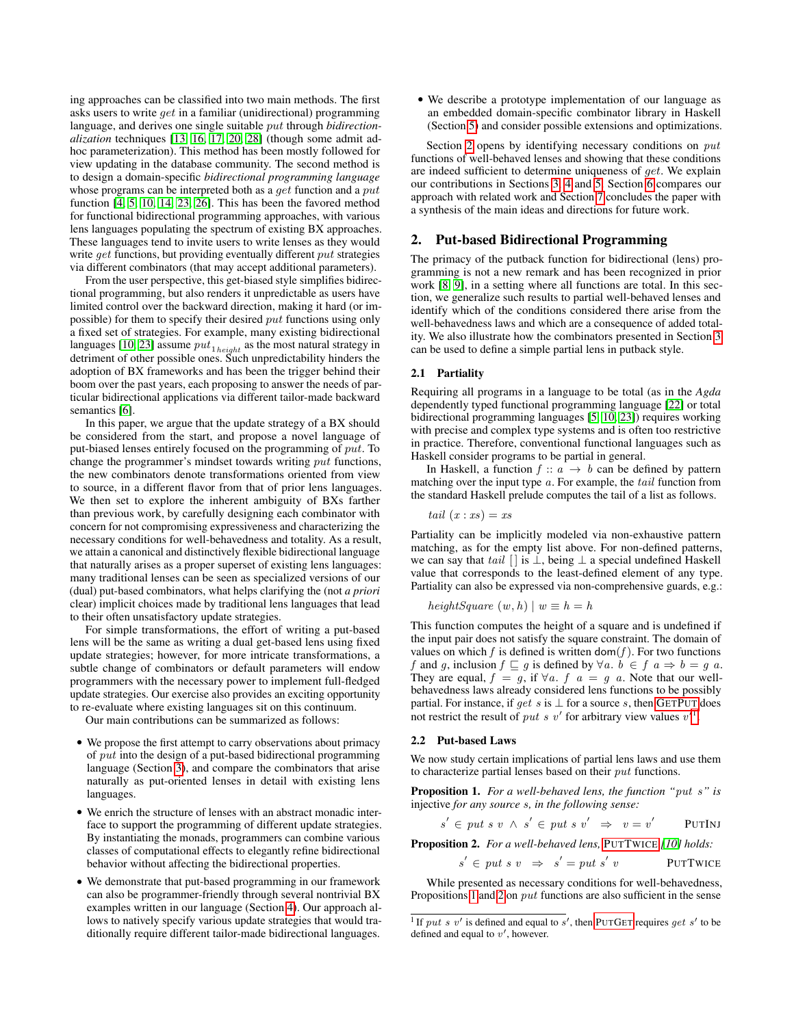ing approaches can be classified into two main methods. The first asks users to write get in a familiar (unidirectional) programming language, and derives one single suitable put through *bidirectionalization* techniques [\[13,](#page-11-5) [16,](#page-11-6) [17,](#page-11-7) [20,](#page-11-8) [28\]](#page-11-9) (though some admit adhoc parameterization). This method has been mostly followed for view updating in the database community. The second method is to design a domain-specific *bidirectional programming language* whose programs can be interpreted both as a get function and a put function [\[4,](#page-11-10) [5,](#page-11-11) [10,](#page-11-1) [14,](#page-11-12) [23,](#page-11-13) [26\]](#page-11-14). This has been the favored method for functional bidirectional programming approaches, with various lens languages populating the spectrum of existing BX approaches. These languages tend to invite users to write lenses as they would write get functions, but providing eventually different put strategies via different combinators (that may accept additional parameters).

From the user perspective, this get-biased style simplifies bidirectional programming, but also renders it unpredictable as users have limited control over the backward direction, making it hard (or impossible) for them to specify their desired put functions using only a fixed set of strategies. For example, many existing bidirectional languages [\[10,](#page-11-1) [23\]](#page-11-13) assume  $put_{1\,height}$  as the most natural strategy in detriment of other possible ones. Such unpredictability hinders the adoption of BX frameworks and has been the trigger behind their boom over the past years, each proposing to answer the needs of particular bidirectional applications via different tailor-made backward semantics [\[6\]](#page-11-0).

In this paper, we argue that the update strategy of a BX should be considered from the start, and propose a novel language of put-biased lenses entirely focused on the programming of put. To change the programmer's mindset towards writing put functions, the new combinators denote transformations oriented from view to source, in a different flavor from that of prior lens languages. We then set to explore the inherent ambiguity of BXs farther than previous work, by carefully designing each combinator with concern for not compromising expressiveness and characterizing the necessary conditions for well-behavedness and totality. As a result, we attain a canonical and distinctively flexible bidirectional language that naturally arises as a proper superset of existing lens languages: many traditional lenses can be seen as specialized versions of our (dual) put-based combinators, what helps clarifying the (not *a priori* clear) implicit choices made by traditional lens languages that lead to their often unsatisfactory update strategies.

For simple transformations, the effort of writing a put-based lens will be the same as writing a dual get-based lens using fixed update strategies; however, for more intricate transformations, a subtle change of combinators or default parameters will endow programmers with the necessary power to implement full-fledged update strategies. Our exercise also provides an exciting opportunity to re-evaluate where existing languages sit on this continuum.

Our main contributions can be summarized as follows:

- We propose the first attempt to carry observations about primacy of put into the design of a put-based bidirectional programming language (Section [3\)](#page-2-0), and compare the combinators that arise naturally as put-oriented lenses in detail with existing lens languages.
- We enrich the structure of lenses with an abstract monadic interface to support the programming of different update strategies. By instantiating the monads, programmers can combine various classes of computational effects to elegantly refine bidirectional behavior without affecting the bidirectional properties.
- We demonstrate that put-based programming in our framework can also be programmer-friendly through several nontrivial BX examples written in our language (Section [4\)](#page-6-0). Our approach allows to natively specify various update strategies that would traditionally require different tailor-made bidirectional languages.

• We describe a prototype implementation of our language as an embedded domain-specific combinator library in Haskell (Section [5\)](#page-9-0) and consider possible extensions and optimizations.

Section [2](#page-1-0) opens by identifying necessary conditions on put functions of well-behaved lenses and showing that these conditions are indeed sufficient to determine uniqueness of get. We explain our contributions in Sections [3,](#page-2-0) [4](#page-6-0) and [5.](#page-9-0) Section [6](#page-10-0) compares our approach with related work and Section [7](#page-11-15) concludes the paper with a synthesis of the main ideas and directions for future work.

# <span id="page-1-0"></span>2. Put-based Bidirectional Programming

The primacy of the putback function for bidirectional (lens) programming is not a new remark and has been recognized in prior work [\[8,](#page-11-16) [9\]](#page-11-17), in a setting where all functions are total. In this section, we generalize such results to partial well-behaved lenses and identify which of the conditions considered there arise from the well-behavedness laws and which are a consequence of added totality. We also illustrate how the combinators presented in Section [3](#page-2-0) can be used to define a simple partial lens in putback style.

## 2.1 Partiality

Requiring all programs in a language to be total (as in the *Agda* dependently typed functional programming language [\[22\]](#page-11-18) or total bidirectional programming languages [\[5,](#page-11-11) [10,](#page-11-1) [23\]](#page-11-13)) requires working with precise and complex type systems and is often too restrictive in practice. Therefore, conventional functional languages such as Haskell consider programs to be partial in general.

In Haskell, a function  $f :: a \rightarrow b$  can be defined by pattern matching over the input type a. For example, the *tail* function from the standard Haskell prelude computes the tail of a list as follows.

$$
tail(x:xs) = xs
$$

Partiality can be implicitly modeled via non-exhaustive pattern matching, as for the empty list above. For non-defined patterns, we can say that tail  $[]$  is  $\bot$ , being  $\bot$  a special undefined Haskell value that corresponds to the least-defined element of any type. Partiality can also be expressed via non-comprehensive guards, e.g.:

$$
heightSquare(w, h) | w \equiv h = h
$$

This function computes the height of a square and is undefined if the input pair does not satisfy the square constraint. The domain of values on which f is defined is written  $\text{dom}(f)$ . For two functions f and g, inclusion  $f \sqsubseteq g$  is defined by  $\forall a$ .  $\check{b} \in f$   $a \Rightarrow b = g$  a. They are equal,  $f = g$ , if  $\forall a$ .  $f \ a = g \ a$ . Note that our wellbehavedness laws already considered lens functions to be possibly partial. For instance, if get s is  $\perp$  for a source s, then GETP[UT](#page-0-0) does not restrict the result of *put s v'* for arbitrary view values  $v^{\prime 1}$  $v^{\prime 1}$  $v^{\prime 1}$ .

## <span id="page-1-5"></span>2.2 Put-based Laws

We now study certain implications of partial lens laws and use them to characterize partial lenses based on their put functions.

<span id="page-1-3"></span>Proposition 1. *For a well-behaved lens, the function "*put s*" is* injective *for any source* s*, in the following sense:*

$$
s' \in put \ s \ v \ \land \ s' \in put \ s \ v' \ \Rightarrow \ v = v' \qquad \text{PUTINI}
$$

<span id="page-1-4"></span>Proposition 2. *For a well-behaved lens,* PUTT[WICE](#page-1-2) *[\[10\]](#page-11-1) holds:*

<span id="page-1-2"></span>
$$
s' \in put \; s \; v \;\; \Rightarrow \;\; s' = put \; s' \; v \qquad \qquad \text{PUTWICE}
$$

While presented as necessary conditions for well-behavedness, Propositions [1](#page-1-3) and [2](#page-1-4) on put functions are also sufficient in the sense

<span id="page-1-1"></span><sup>&</sup>lt;sup>1</sup> If put s v' is defined and equal to s', then P[UT](#page-0-1)GET requires get s' to be defined and equal to  $v'$ , however.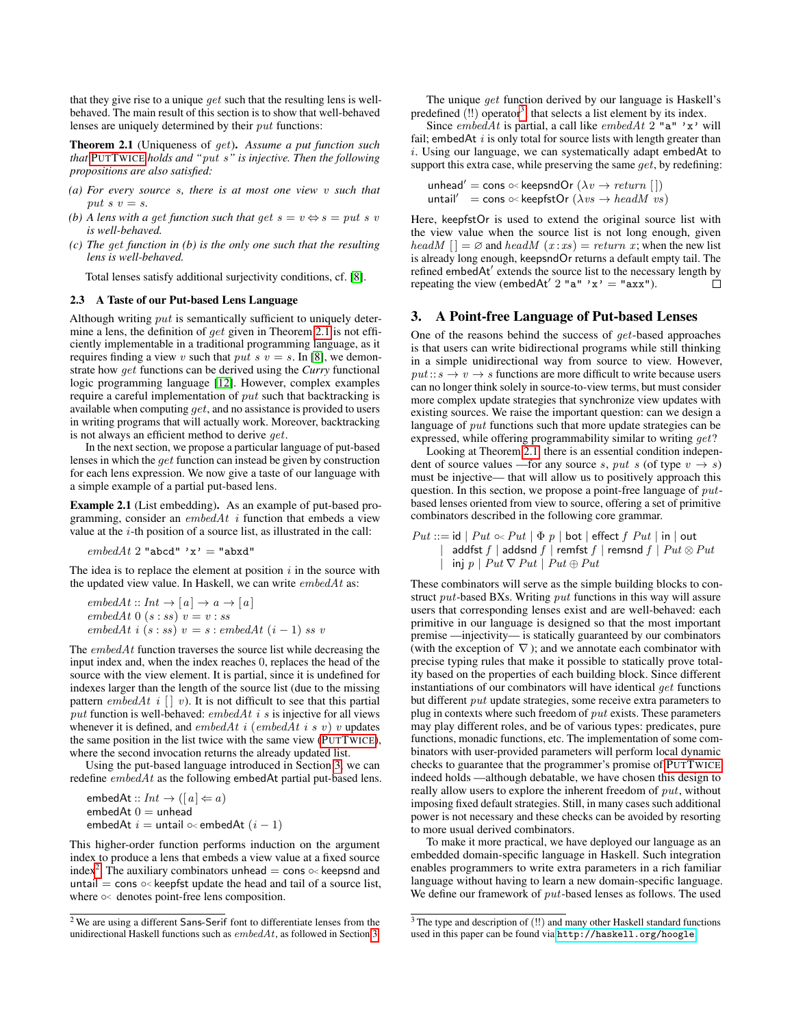that they give rise to a unique  $get$  such that the resulting lens is wellbehaved. The main result of this section is to show that well-behaved lenses are uniquely determined by their put functions:

<span id="page-2-1"></span>Theorem 2.1 (Uniqueness of get). *Assume a put function such that* PUTT[WICE](#page-1-2) *holds and "*put s*" is injective. Then the following propositions are also satisfied:*

- *(a) For every source* s*, there is at most one view* v *such that* put  $s$   $v = s$ .
- *(b) A lens with a get function such that get*  $s = v \Leftrightarrow s = put s$  *v is well-behaved.*
- *(c) The* get *function in (b) is the only one such that the resulting lens is well-behaved.*

Total lenses satisfy additional surjectivity conditions, cf. [\[8\]](#page-11-16).

# 2.3 A Taste of our Put-based Lens Language

Although writing *put* is semantically sufficient to uniquely determine a lens, the definition of *get* given in Theorem [2.1](#page-2-1) is not efficiently implementable in a traditional programming language, as it requires finding a view v such that put s  $v = s$ . In [\[8\]](#page-11-16), we demonstrate how get functions can be derived using the *Curry* functional logic programming language [\[12\]](#page-11-19). However, complex examples require a careful implementation of put such that backtracking is available when computing get, and no assistance is provided to users in writing programs that will actually work. Moreover, backtracking is not always an efficient method to derive get.

In the next section, we propose a particular language of put-based lenses in which the get function can instead be given by construction for each lens expression. We now give a taste of our language with a simple example of a partial put-based lens.

Example 2.1 (List embedding). As an example of put-based programming, consider an  $embedAt$  i function that embeds a view value at the  $i$ -th position of a source list, as illustrated in the call:

 $embedAt 2 "abcd" 'x' = "abxd"$ 

The idea is to replace the element at position  $i$  in the source with the updated view value. In Haskell, we can write  $embedAt$  as:

```
embedAt :: Int \rightarrow [a] \rightarrow a \rightarrow [a]embedAt\ 0\ (s:ss)\ v=v:ssembedAt i (s:ss) v = s: embedAt (i-1) ss v
```
The  $embedAt$  function traverses the source list while decreasing the input index and, when the index reaches 0, replaces the head of the source with the view element. It is partial, since it is undefined for indexes larger than the length of the source list (due to the missing pattern *embedAt*  $i \mid v$ . It is not difficult to see that this partial put function is well-behaved:  $embedAt\ i\ s$  is injective for all views whenever it is defined, and  $embedAt\ i\ (embedAt\ i\ s\ v)\ v$  updates the same position in the list twice with the same view (PUTT[WICE](#page-1-2)), where the second invocation returns the already updated list.

Using the put-based language introduced in Section [3,](#page-2-0) we can redefine  $embedAt$  as the following embedAt partial put-based lens.

```
embedAt :: Int \rightarrow ([a] \leftarrow a)embedAt 0 = unheadembedAt i = untail \infty embedAt (i - 1)
```
This higher-order function performs induction on the argument index to produce a lens that embeds a view value at a fixed source index $^2$  $^2$ . The auxiliary combinators unhead = cons  $\circ$ < keepsnd and  $untail = \cos \circ \times \text{keepfst}$  update the head and tail of a source list, where ○ denotes point-free lens composition.

The unique get function derived by our language is Haskell's predefined  $(!!)$  operator<sup>[3](#page-2-3)</sup>, that selects a list element by its index.

Since *embedAt* is partial, a call like *embedAt*  $2$  "a" 'x' will fail; embedAt  $i$  is only total for source lists with length greater than i. Using our language, we can systematically adapt embedAt to support this extra case, while preserving the same  $get$ , by redefining:

```
unhead' = cons \infty keepsndOr (\lambda v \rightarrow return \; [\;])untail<sup>'</sup> = cons ∘< keepfstOr (\lambda vs \rightarrow headM vs)
```
Here, keepfstOr is used to extend the original source list with the view value when the source list is not long enough, given headM  $[$  =  $\emptyset$  and headM  $(x : xs) = return x$ ; when the new list is already long enough, keepsndOr returns a default empty tail. The refined embedAt' extends the source list to the necessary length by repeating the view (embed $At' 2 "a" 'x' = "axx").$  $\Box$ 

# <span id="page-2-0"></span>3. A Point-free Language of Put-based Lenses

One of the reasons behind the success of get-based approaches is that users can write bidirectional programs while still thinking in a simple unidirectional way from source to view. However,  $put:: s \rightarrow v \rightarrow s$  functions are more difficult to write because users can no longer think solely in source-to-view terms, but must consider more complex update strategies that synchronize view updates with existing sources. We raise the important question: can we design a language of put functions such that more update strategies can be expressed, while offering programmability similar to writing get?

Looking at Theorem [2.1,](#page-2-1) there is an essential condition independent of source values —for any source s, put s (of type  $v \rightarrow s$ ) must be injective— that will allow us to positively approach this question. In this section, we propose a point-free language of putbased lenses oriented from view to source, offering a set of primitive combinators described in the following core grammar.

$$
\begin{array}{ll} Put::= \mathsf{id} \mid Put \, \mathbin{\diamond}\, \mathit{Put} \, \mathbin{\diamond}\, \mathit{Put} \mid \Phi \ p \mid \mathsf{bot} \mid \mathsf{effect} \ f \ \mathit{Put} \mid \mathsf{in} \mid \mathsf{out} \\ & \mid \ \mathsf{addfst} \ f \mid \mathsf{addsnd} \ f \mid \mathsf{remfst} \ f \mid \mathsf{remsnd} \ f \mid \mathit{Put} \otimes \mathit{Put} \\ & \mid \ \mathsf{inj} \ p \mid \mathit{Put} \ \nabla \ Put \mid \mathit{Put} \oplus \mathit{Put} \end{array}
$$

These combinators will serve as the simple building blocks to construct put-based BXs. Writing put functions in this way will assure users that corresponding lenses exist and are well-behaved: each primitive in our language is designed so that the most important premise —injectivity— is statically guaranteed by our combinators (with the exception of  $\nabla$ ); and we annotate each combinator with precise typing rules that make it possible to statically prove totality based on the properties of each building block. Since different instantiations of our combinators will have identical get functions but different put update strategies, some receive extra parameters to plug in contexts where such freedom of  $put$  exists. These parameters may play different roles, and be of various types: predicates, pure functions, monadic functions, etc. The implementation of some combinators with user-provided parameters will perform local dynamic checks to guarantee that the programmer's promise of PUTT[WICE](#page-1-2) indeed holds —although debatable, we have chosen this design to really allow users to explore the inherent freedom of put, without imposing fixed default strategies. Still, in many cases such additional power is not necessary and these checks can be avoided by resorting to more usual derived combinators.

To make it more practical, we have deployed our language as an embedded domain-specific language in Haskell. Such integration enables programmers to write extra parameters in a rich familiar language without having to learn a new domain-specific language. We define our framework of put-based lenses as follows. The used

<span id="page-2-2"></span><sup>2</sup> We are using a different Sans-Serif font to differentiate lenses from the unidirectional Haskell functions such as  $embedAt$ , as followed in Section [3.](#page-2-0)

<span id="page-2-3"></span><sup>&</sup>lt;sup>3</sup> The type and description of (!!) and many other Haskell standard functions used in this paper can be found via <http://haskell.org/hoogle>.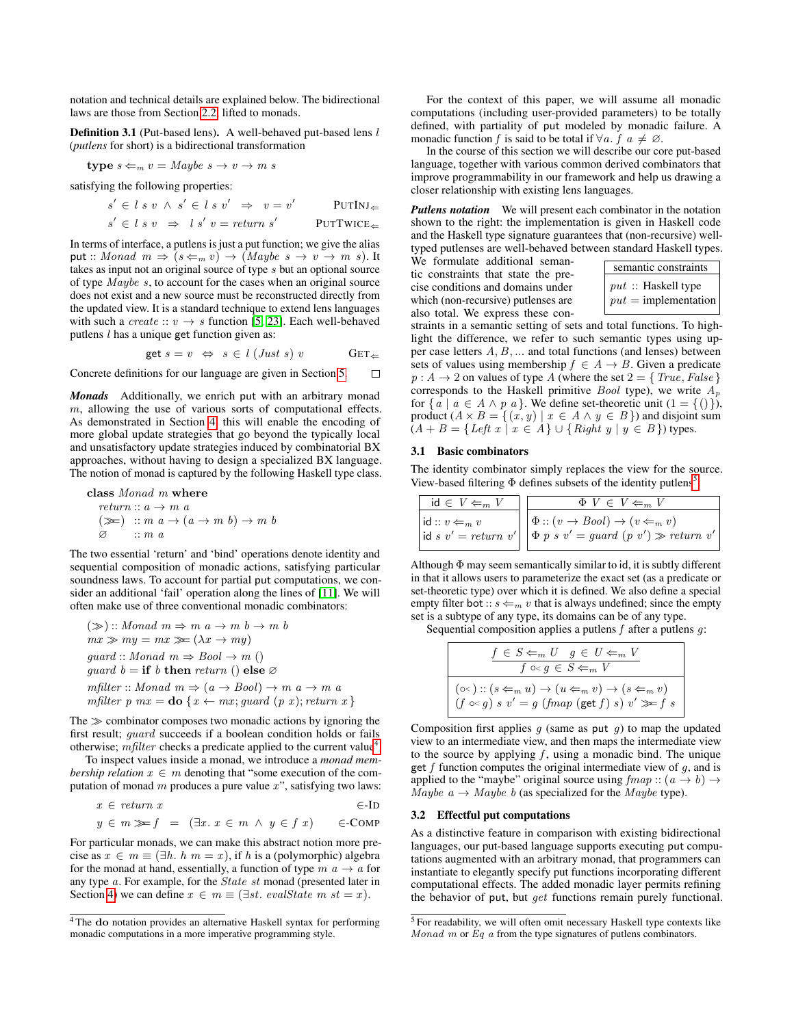notation and technical details are explained below. The bidirectional laws are those from Section [2.2,](#page-1-5) lifted to monads.

<span id="page-3-4"></span>Definition 3.1 (Put-based lens). A well-behaved put-based lens l (*putlens* for short) is a bidirectional transformation

$$
type s \Leftarrow_m v = Maybe s \rightarrow v \rightarrow m s
$$

satisfying the following properties:

$$
s' \in l \ s \ v \ \land \ s' \in l \ s \ v' \ \Rightarrow \ v = v' \qquad \text{PUTINI}_{\Leftarrow}
$$
\n
$$
s' \in l \ s \ v \ \Rightarrow \ l \ s' \ v = return \ s' \qquad \text{PUTINICE}_{\Leftarrow}
$$

In terms of interface, a putlens is just a put function; we give the alias put :: Monad  $m \Rightarrow (s \Leftarrow_m v) \rightarrow (Maybe \ s \rightarrow v \rightarrow m \ s)$ . It takes as input not an original source of type s but an optional source of type Maybe s, to account for the cases when an original source does not exist and a new source must be reconstructed directly from the updated view. It is a standard technique to extend lens languages with such a create ::  $v \rightarrow s$  function [\[5,](#page-11-11) [23\]](#page-11-13). Each well-behaved putlens  $l$  has a unique get function given as:

get 
$$
s = v \Leftrightarrow s \in l
$$
 (Just s) v  $GET \Leftrightarrow$ 

Concrete definitions for our language are given in Section [5.](#page-9-0)  $\Box$ 

*Monads* Additionally, we enrich put with an arbitrary monad m, allowing the use of various sorts of computational effects. As demonstrated in Section [4,](#page-6-0) this will enable the encoding of more global update strategies that go beyond the typically local and unsatisfactory update strategies induced by combinatorial BX approaches, without having to design a specialized BX language. The notion of monad is captured by the following Haskell type class.

class Monad m where  
return :: 
$$
a \rightarrow m
$$
 a  
 $(\gg)$  ::  $m$  a  $\rightarrow$   $(a \rightarrow m$  b)  $\rightarrow$  m b  
 $\varnothing$  ::  $m$  a

The two essential 'return' and 'bind' operations denote identity and sequential composition of monadic actions, satisfying particular soundness laws. To account for partial put computations, we consider an additional 'fail' operation along the lines of [\[11\]](#page-11-20). We will often make use of three conventional monadic combinators:

$$
(\gg) :: Monad \ m \Rightarrow m \ a \rightarrow m \ b \rightarrow m \ b
$$
  

$$
mx \gg my = mx \gg (\lambda x \rightarrow my)
$$
  
guard :: Monad \ m \Rightarrow Bool \rightarrow m ()  
guard \ b = if b then return () else  $\varnothing$   
mfilter :: Monad \ m \Rightarrow (a \rightarrow Bool) \rightarrow m \ a \rightarrow m \ a  
mfilter p \ mx = do {x \leftarrow mx; guard (p x); return x}

The  $\gg$  combinator composes two monadic actions by ignoring the first result; guard succeeds if a boolean condition holds or fails otherwise; *mfilter* checks a predicate applied to the current value<sup>[4](#page-3-0)</sup>.

To inspect values inside a monad, we introduce a *monad membership relation*  $x \in m$  denoting that "some execution of the computation of monad  $m$  produces a pure value  $x$ ", satisfying two laws:

$$
x \in return x
$$
  
\n
$$
y \in m \gg f = (\exists x. x \in m \land y \in f x) \in -COMP
$$

For particular monads, we can make this abstract notion more precise as 
$$
x \in m \equiv (\exists h. h \ m = x)
$$
, if h is a (polymorphic) algebra for the monad at hand, essentially, a function of type  $m \ a \rightarrow a$  for any type a. For example, for the *State* st monad (presented later in Section 4) we can define  $x \in m \equiv (\exists st. evalState \ m \ st = x)$ .

For the context of this paper, we will assume all monadic computations (including user-provided parameters) to be totally defined, with partiality of put modeled by monadic failure. A monadic function f is said to be total if  $\forall a. f \ a \neq \emptyset$ .

In the course of this section we will describe our core put-based language, together with various common derived combinators that improve programmability in our framework and help us drawing a closer relationship with existing lens languages.

<span id="page-3-3"></span><span id="page-3-2"></span>*Putlens notation* We will present each combinator in the notation shown to the right: the implementation is given in Haskell code and the Haskell type signature guarantees that (non-recursive) welltyped putlenses are well-behaved between standard Haskell types.

We formulate additional semantic constraints that state the precise conditions and domains under which (non-recursive) putlenses are also total. We express these con-

| semantic constraints                            |  |
|-------------------------------------------------|--|
| $put ::$ Haskell type<br>$put = implementation$ |  |

straints in a semantic setting of sets and total functions. To highlight the difference, we refer to such semantic types using upper case letters  $A, B, \ldots$  and total functions (and lenses) between sets of values using membership  $f \in A \rightarrow B$ . Given a predicate  $p : A \rightarrow 2$  on values of type A (where the set  $2 = \{True, False\}$ ) corresponds to the Haskell primitive *Bool* type), we write  $A_p$ for  $\{a \mid a \in A \land p \mid a\}$ . We define set-theoretic unit  $(1 = \{()\})$ , product  $(A \times B = \{(x, y) | x \in A \land y \in B\})$  and disjoint sum  $(A + B = \{ \text{Left } x \mid x \in A \} \cup \{ \text{Right } y \mid y \in B \} )$  types.

## 3.1 Basic combinators

The identity combinator simply replaces the view for the source. View-based filtering  $\Phi$  defines subsets of the identity putlens<sup>[5](#page-3-1)</sup>:

| $id \in V \Leftarrow_m V$ | $\Phi V \in V \Leftarrow_m V$                                                                                                                                                                   |
|---------------------------|-------------------------------------------------------------------------------------------------------------------------------------------------------------------------------------------------|
|                           | id :: $v \Leftarrow_m v$<br>  id s $v' = return v'$   $\phi$ :: $(v \rightarrow Bool) \rightarrow (v \Leftarrow_m v)$<br>  id s $v' = return v'$   $\phi$ p s $v' = guard (p v') \gg return v'$ |

Although  $\Phi$  may seem semantically similar to id, it is subtly different in that it allows users to parameterize the exact set (as a predicate or set-theoretic type) over which it is defined. We also define a special empty filter bot ::  $s \leftarrow_m v$  that is always undefined; since the empty set is a subtype of any type, its domains can be of any type.

Sequential composition applies a putlens  $f$  after a putlens  $g$ :

$$
\frac{f \in S \Leftarrow_m U \quad g \in U \Leftarrow_m V}{f \circ \leq g \in S \Leftarrow_m V}
$$
\n
$$
\frac{(\infty) :: (s \Leftarrow_m u) \to (u \Leftarrow_m v) \to (s \Leftarrow_m v)}{(f \circ \leq g) s v' = g (\text{fmap (get } f) s) v' \ggg f s}
$$

Composition first applies  $g$  (same as put  $g$ ) to map the updated view to an intermediate view, and then maps the intermediate view to the source by applying  $f$ , using a monadic bind. The unique get  $f$  function computes the original intermediate view of  $g$ , and is applied to the "maybe" original source using  $fmap :: (a \rightarrow b) \rightarrow$ Maybe  $a \rightarrow$  Maybe b (as specialized for the Maybe type).

## 3.2 Effectful put computations

As a distinctive feature in comparison with existing bidirectional languages, our put-based language supports executing put computations augmented with an arbitrary monad, that programmers can instantiate to elegantly specify put functions incorporating different computational effects. The added monadic layer permits refining the behavior of put, but get functions remain purely functional.

<span id="page-3-0"></span><sup>4</sup> The do notation provides an alternative Haskell syntax for performing monadic computations in a more imperative programming style.

<span id="page-3-1"></span><sup>5</sup> For readability, we will often omit necessary Haskell type contexts like Monad  $m$  or  $Eq$  a from the type signatures of putlens combinators.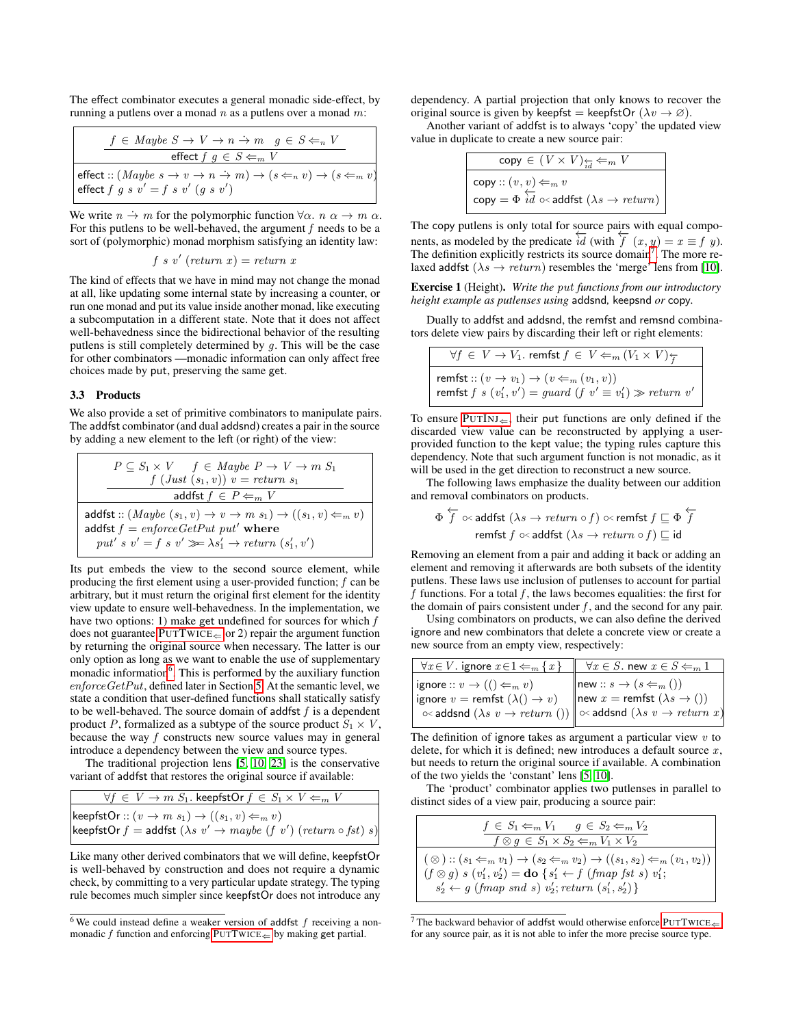The effect combinator executes a general monadic side-effect, by running a putlens over a monad  $n$  as a putlens over a monad  $m$ :

$$
\frac{f \in \text{ Maybe } S \to V \to n \to m \quad g \in S \Leftarrow_n V}{\text{effect } f \ g \in S \Leftarrow_m V} \\ \text{effect } :: (\text{Maybe } s \to v \to n \to m) \to (s \Leftarrow_n v) \to (s \Leftarrow_m v) \\ \text{effect } f \ g \ s \ v' = f \ s \ v' \ (g \ s \ v')
$$

We write  $n \to m$  for the polymorphic function  $\forall \alpha$ .  $n \alpha \to m \alpha$ . For this putlens to be well-behaved, the argument  $f$  needs to be a sort of (polymorphic) monad morphism satisfying an identity law:

$$
f s v' (return x) = return x
$$

The kind of effects that we have in mind may not change the monad at all, like updating some internal state by increasing a counter, or run one monad and put its value inside another monad, like executing a subcomputation in a different state. Note that it does not affect well-behavedness since the bidirectional behavior of the resulting putlens is still completely determined by g. This will be the case for other combinators —monadic information can only affect free choices made by put, preserving the same get.

#### 3.3 Products

We also provide a set of primitive combinators to manipulate pairs. The addfst combinator (and dual addsnd) creates a pair in the source by adding a new element to the left (or right) of the view:

$$
P \subseteq S_1 \times V \quad f \in \text{Maybe } P \to V \to m \ S_1
$$
\n
$$
\underbrace{f \ (Just \ (s_1, v)) \ v = return \ s_1}_{\text{addfst } f \in \ P \Leftarrow m \ V}
$$
\naddfst :: (Maybe (s\_1, v) \to v \to m \ s\_1) \to ((s\_1, v) \Leftarrow m \ v)}\_{\text{addfst } f = enforceGetPut put' \ \text{where}}\n
$$
put' \ s \ v' = f \ s \ v' \gg \lambda s'_1 \to return \ (s'_1, v')
$$

Its put embeds the view to the second source element, while producing the first element using a user-provided function;  $f$  can be arbitrary, but it must return the original first element for the identity view update to ensure well-behavedness. In the implementation, we have two options: 1) make get undefined for sources for which  $f$ does not guarantee PUTT[WICE](#page-3-2) $\Leftarrow$  or 2) repair the argument function by returning the original source when necessary. The latter is our only option as long as we want to enable the use of supplementary monadic information<sup>[6](#page-4-0)</sup>. This is performed by the auxiliary function enforce GetPut, defined later in Section [5.](#page-9-0) At the semantic level, we state a condition that user-defined functions shall statically satisfy to be well-behaved. The source domain of addfst  $f$  is a dependent product P, formalized as a subtype of the source product  $S_1 \times V$ , because the way  $f$  constructs new source values may in general introduce a dependency between the view and source types.

The traditional projection lens [\[5,](#page-11-11) [10,](#page-11-1) [23\]](#page-11-13) is the conservative variant of addfst that restores the original source if available:

| $\forall f \in V \rightarrow m \ S_1$ . keepfst $\text{Or } f \in S_1 \times V \Leftarrow_m V$ |
|------------------------------------------------------------------------------------------------|
| keepfstOr :: $(v \rightarrow m s_1) \rightarrow ((s_1, v) \leftarrow m v)$                     |
| keepfstOr $f =$ addfst $(\lambda s \ v' \rightarrow maybe (f \ v') (return \circ fst) s)$      |

Like many other derived combinators that we will define, keepfstOr is well-behaved by construction and does not require a dynamic check, by committing to a very particular update strategy. The typing rule becomes much simpler since keepfstOr does not introduce any

dependency. A partial projection that only knows to recover the original source is given by keepfst = keepfstOr  $(\lambda v \rightarrow \emptyset)$ .

Another variant of addfst is to always 'copy' the updated view value in duplicate to create a new source pair:

| copy $\in (V \times V)_{\overleftarrow{id}} \Leftarrow_m V$                                |
|--------------------------------------------------------------------------------------------|
| $\vert$ copy :: $(v, v) \leftarrow_m v$                                                    |
| $\vert$ copy = $\Phi$ $\overleftarrow{id}$ $\circ$ addfst $(\lambda s \rightarrow return)$ |

The copy putlens is only total for source pairs with equal components, as modeled by the predicate  $\overline{id}$  (with  $\overline{f}(x, y) = x \equiv f(y)$ ). The definition explicitly restricts its source domain<sup>[7](#page-4-1)</sup>. The more relaxed addfst ( $\lambda s \rightarrow return$ ) resembles the 'merge' lens from [\[10\]](#page-11-1).

Exercise 1 (Height). *Write the* put *functions from our introductory height example as putlenses using* addsnd*,* keepsnd *or* copy*.*

Dually to addfst and addsnd, the remfst and remsnd combinators delete view pairs by discarding their left or right elements:

| $\forall f \in V \rightarrow V_1$ . remfst $f \in V \Leftarrow_m (V_1 \times V)_{\overline{f}}$                                          |
|------------------------------------------------------------------------------------------------------------------------------------------|
| remfst :: $(v \rightarrow v_1) \rightarrow (v \leftarrow_m (v_1, v))$<br>remfst $f s(v'_1, v') = guard (f v' \equiv v'_1) \gg return v'$ |

To ensure P[UT](#page-3-3)INJ $\Leftarrow$ , their put functions are only defined if the discarded view value can be reconstructed by applying a userprovided function to the kept value; the typing rules capture this dependency. Note that such argument function is not monadic, as it will be used in the get direction to reconstruct a new source.

The following laws emphasize the duality between our addition and removal combinators on products.

$$
\Phi \stackrel{\leftarrow}{f} \circ \sim \text{addfst} \;(\lambda s \to return \circ f) \circ \sim \text{remfst} \; f \sqsubseteq \Phi \stackrel{\leftarrow}{f}
$$
\n
$$
\text{remfst} \; f \circ \sim \text{addfst} \;(\lambda s \to return \circ f) \sqsubseteq \text{id}
$$

Removing an element from a pair and adding it back or adding an element and removing it afterwards are both subsets of the identity putlens. These laws use inclusion of putlenses to account for partial f functions. For a total f, the laws becomes equalities: the first for the domain of pairs consistent under  $f$ , and the second for any pair.

Using combinators on products, we can also define the derived ignore and new combinators that delete a concrete view or create a new source from an empty view, respectively:

| $\forall x \in V$ . ignore $x \in 1 \leftarrow m \{x\}$                                                               | $\forall x \in S$ . new $x \in S \Leftarrow_m 1$                            |
|-----------------------------------------------------------------------------------------------------------------------|-----------------------------------------------------------------------------|
| ignore :: $v \rightarrow ((\ \ \leftarrow_m v)$<br>ignore $v =$ remfst $(\lambda() \rightarrow v)$                    | new :: $s \to (s \leftarrow_m())$<br>new $x =$ remfst $(\lambda s \to () )$ |
| $\infty$ addsnd $(\lambda s \ v \rightarrow return \ ())$ $\  \infty$ addsnd $(\lambda s \ v \rightarrow return \ x)$ |                                                                             |

The definition of ignore takes as argument a particular view  $v$  to delete, for which it is defined; new introduces a default source  $x$ , but needs to return the original source if available. A combination of the two yields the 'constant' lens [\[5,](#page-11-11) [10\]](#page-11-1).

The 'product' combinator applies two putlenses in parallel to distinct sides of a view pair, producing a source pair:

$$
\frac{f \in S_1 \leftarrow m V_1 \quad g \in S_2 \leftarrow m V_2}{f \otimes g \in S_1 \times S_2 \leftarrow m V_1 \times V_2}
$$
\n
$$
(\otimes) :: (s_1 \leftarrow m v_1) \rightarrow (s_2 \leftarrow m v_2) \rightarrow ((s_1, s_2) \leftarrow m (v_1, v_2))
$$
\n
$$
(f \otimes g) s (v'_1, v'_2) = \text{do } \{s'_1 \leftarrow f \text{ (fmap fast s) } v'_1; \quad s'_2 \leftarrow g \text{ (fmap sand s) } v'_2; \text{ return } (s'_1, s'_2) \}
$$

<span id="page-4-0"></span> $6$  We could instead define a weaker version of addfst  $f$  receiving a nonmonadic f function and enforcing  $PUTWICE \leftarrow$  $PUTWICE \leftarrow$  $PUTWICE \leftarrow$  by making get partial.

<span id="page-4-1"></span> $7$  The backward behavior of addfst would otherwise enforce PUTT[WICE](#page-3-2) $\Leftarrow$ for any source pair, as it is not able to infer the more precise source type.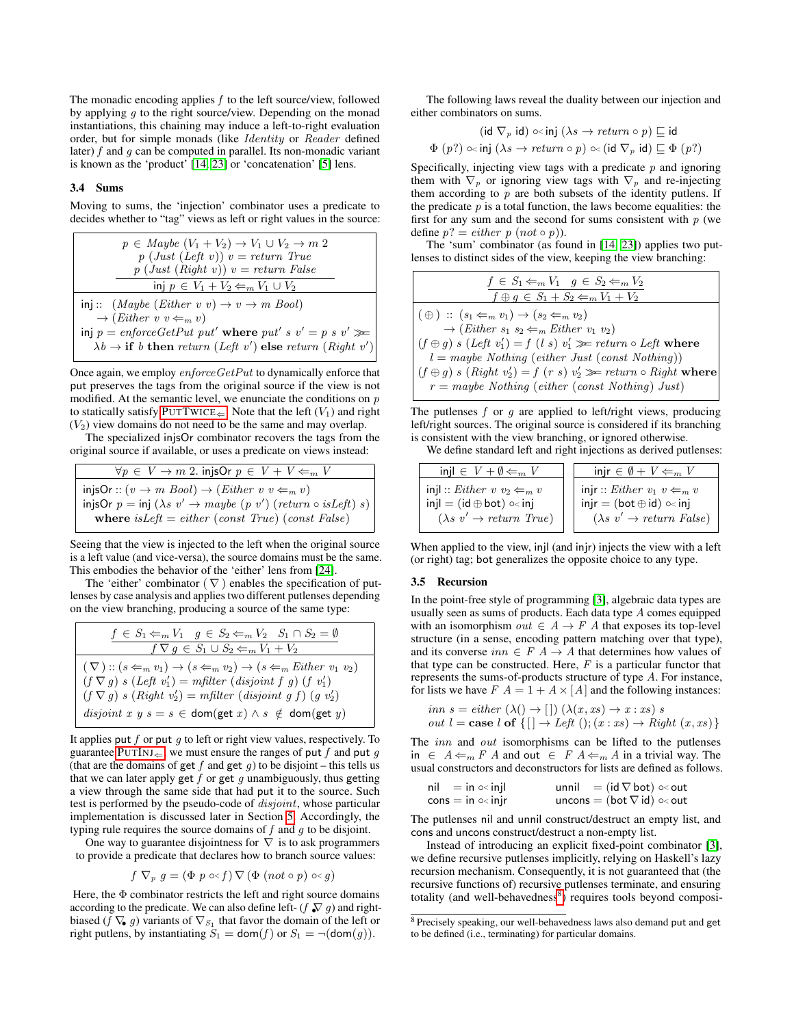The monadic encoding applies  $f$  to the left source/view, followed by applying  $q$  to the right source/view. Depending on the monad instantiations, this chaining may induce a left-to-right evaluation order, but for simple monads (like Identity or Reader defined later)  $f$  and  $q$  can be computed in parallel. Its non-monadic variant is known as the 'product' [\[14,](#page-11-12) [23\]](#page-11-13) or 'concatenation' [\[5\]](#page-11-11) lens.

#### 3.4 Sums

Moving to sums, the 'injection' combinator uses a predicate to decides whether to "tag" views as left or right values in the source:

| $p \in \text{Maybe } (V_1 + V_2) \rightarrow V_1 \cup V_2 \rightarrow m 2$<br>$p \left( \textit{Just} \left( \textit{Left} \right) \right) v = \textit{return}$ True<br>$p \text{ (Just (Right v)) } v = return \text{ False}$ |
|--------------------------------------------------------------------------------------------------------------------------------------------------------------------------------------------------------------------------------|
| inj $p \in V_1 + V_2 \leftarrow_m V_1 \cup V_2$                                                                                                                                                                                |
| inj:: ( <i>Maybe</i> ( <i>Either</i> v v) $\rightarrow$ v $\rightarrow$ m <i>Bool</i> )<br>$\rightarrow$ ( <i>Either</i> v v $\Leftarrow_m v$ )                                                                                |
| inj $p = enforceGetPut put'$ where put's $v' = p s v'$<br>$\lambda b \rightarrow \mathbf{if} \; b \; \mathbf{then} \; return \; (Left \; v') \; \mathbf{else} \; return \; (Right \; v')$                                      |

Once again, we employ enforceGetPut to dynamically enforce that put preserves the tags from the original source if the view is not modified. At the semantic level, we enunciate the conditions on  $p$ to statically satisfy PUTT[WICE](#page-3-2) $\Leftarrow$ . Note that the left  $(V_1)$  and right  $(V_2)$  view domains do not need to be the same and may overlap.

The specialized injsOr combinator recovers the tags from the original source if available, or uses a predicate on views instead:

| $\forall p \in V \rightarrow m$ 2. injsOr $p \in V + V \leftarrow_m V$                       |
|----------------------------------------------------------------------------------------------|
| injsOr :: $(v \rightarrow m \; Bool) \rightarrow (Either \; v \; v \leftarrow_m v)$          |
| injsOr $p = \text{inj } (\lambda s \ v' \rightarrow maybe (p \ v') (return \circ isLeft) s)$ |
| where $isLeft = either (const True) (const False)$                                           |

Seeing that the view is injected to the left when the original source is a left value (and vice-versa), the source domains must be the same. This embodies the behavior of the 'either' lens from [\[24\]](#page-11-21).

The 'either' combinator  $(\nabla)$  enables the specification of putlenses by case analysis and applies two different putlenses depending on the view branching, producing a source of the same type:

| $f \in S_1 \leftarrow_m V_1 \quad g \in S_2 \leftarrow_m V_2 \quad S_1 \cap S_2 = \emptyset$                    |
|-----------------------------------------------------------------------------------------------------------------|
| $f \nabla g \in S_1 \cup S_2 \leftarrow_m V_1 + V_2$                                                            |
| $(\nabla) :: (s \leftarrow_m v_1) \rightarrow (s \leftarrow_m v_2) \rightarrow (s \leftarrow_m Either v_1 v_2)$ |
| $(f \nabla g)$ s $(Left v'_1) = mfilter (disjoint f g) (f v'_1)$                                                |
| $(f \nabla g)$ s (Right $v'_2$ ) = mfilter (disjoint g f) (g $v'_2$ )                                           |
| disjoint x $y s = s \in$ dom(get $x) \wedge s \notin$ dom(get $y$ )                                             |

It applies put  $f$  or put  $g$  to left or right view values, respectively. To guarantee P[UT](#page-3-3)INJ $\Leftarrow$ , we must ensure the ranges of put f and put g (that are the domains of get f and get g) to be disjoint – this tells us that we can later apply get  $f$  or get  $g$  unambiguously, thus getting a view through the same side that had put it to the source. Such test is performed by the pseudo-code of disjoint, whose particular implementation is discussed later in Section [5.](#page-9-0) Accordingly, the typing rule requires the source domains of  $f$  and  $g$  to be disjoint.

One way to guarantee disjointness for  $\nabla$  is to ask programmers to provide a predicate that declares how to branch source values:

$$
f\;\nabla_{p}\;g=(\Phi\;p\;\mathbin{\diamond}\mathord{<} f)\;\nabla\left(\Phi\;(\textit{not}\mathbin{\circ} p)\mathbin{\diamond}\mathord{<} g\right)
$$

Here, the  $\Phi$  combinator restricts the left and right source domains according to the predicate. We can also define left-  $(f \nabla g)$  and rightbiased (f  $\nabla_{\mathbf{s}} g$ ) variants of  $\nabla_{S_1}$  that favor the domain of the left or right putlens, by instantiating  $\overline{S}_1 = \text{dom}(f)$  or  $S_1 = \neg(\text{dom}(g))$ .

The following laws reveal the duality between our injection and either combinators on sums.

$$
(\mathsf{id}\nabla_p \mathsf{id}) \circ <\mathsf{inj}\nolimits (\lambda s \to return \circ p) \sqsubseteq \mathsf{id}
$$
  

$$
\Phi(p?) \circ <\mathsf{inj}\nolimits (\lambda s \to return \circ p) \circ < (\mathsf{id}\nabla_p \mathsf{id}) \sqsubseteq \Phi(p?)
$$

Specifically, injecting view tags with a predicate  $p$  and ignoring them with  $\nabla_p$  or ignoring view tags with  $\nabla_p$  and re-injecting them according to  $p$  are both subsets of the identity putlens. If the predicate  $p$  is a total function, the laws become equalities: the first for any sum and the second for sums consistent with  $p$  (we define  $p? = either \ p \ (not \ o \ p).$ 

The 'sum' combinator (as found in [\[14,](#page-11-12) [23\]](#page-11-13)) applies two putlenses to distinct sides of the view, keeping the view branching:

| $f \in S_1 \leftarrow_m V_1 \quad g \in S_2 \leftarrow_m V_2$                      |
|------------------------------------------------------------------------------------|
| $f \oplus q \in S_1 + S_2 \Leftarrow_m V_1 + V_2$                                  |
| $(\bigoplus) :: (s_1 \leftarrow_m v_1) \rightarrow (s_2 \leftarrow_m v_2)$         |
| $\rightarrow$ ( <i>Either</i> $s_1$ $s_2 \leftarrow_m$ <i>Either</i> $v_1$ $v_2$ ) |
| $(f \oplus g)$ s (Left $v'_1$ ) = f (l s) $v'_1 \gg g$ return $\circ$ Left where   |
| $l = maybe \ Nothing (either \ Just (const \ Nothing))$                            |
| $(f \oplus g)$ s (Right $v'_2$ ) = f (r s) $v'_2 \gg$ return $\circ$ Right where   |
| $r = maybe \ Nothing \ (either \ (const \ Nothing) \ Just)$                        |

The putlenses  $f$  or  $g$  are applied to left/right views, producing left/right sources. The original source is considered if its branching is consistent with the view branching, or ignored otherwise.

We define standard left and right injections as derived putlenses:

| injr $\in \emptyset + V \Leftarrow_m V$       |
|-----------------------------------------------|
| injr:: <i>Either</i> $v_1$ $v \Leftarrow_m v$ |
| $injr = (bot \oplus id) \sim inj$             |
| $(\lambda s \ v' \rightarrow return \ False)$ |
|                                               |

When applied to the view, injl (and injr) injects the view with a left (or right) tag; bot generalizes the opposite choice to any type.

# 3.5 Recursion

In the point-free style of programming [\[3\]](#page-11-22), algebraic data types are usually seen as sums of products. Each data type A comes equipped with an isomorphism  $out \in A \rightarrow F$  A that exposes its top-level structure (in a sense, encoding pattern matching over that type), and its converse  $inn \in F \land \rightarrow A$  that determines how values of that type can be constructed. Here,  $F$  is a particular functor that represents the sums-of-products structure of type A. For instance, for lists we have  $F A = 1 + A \times [A]$  and the following instances:

$$
\begin{array}{l}\n\text{inn } s = \text{either } (\lambda() \to []) (\lambda(x, xs) \to x : xs) \, s \\
\text{out } l = \text{case } l \text{ of } \{[] \to \text{Left } (), (x : xs) \to \text{Right } (x, xs) \} \n\end{array}
$$

The *inn* and *out* isomorphisms can be lifted to the putlenses in ∈  $A \leftarrow_m F A$  and out ∈  $F A \leftarrow_m A$  in a trivial way. The usual constructors and deconstructors for lists are defined as follows.

$$
\begin{array}{ll}\n\text{nil} & = \text{in} \, \text{or} \, \text{inj} \\
\text{cons} & = \text{in} \, \text{or} \, \text{inj} \\
\text{r} & = \text{in} \, \text{or} \, \text{inj} \\
\text{r} & = \text{in} \, \text{or} \, \text{inj} \\
\text{r} & = \text{in} \, \text{or} \, \text{inj} \\
\text{r} & = \text{inj} \, \text{inj} \\
\text{r} & = \text{inj} \, \text{inj} \\
\text{r} & = \text{inj} \, \text{inj} \\
\text{r} & = \text{inj} \, \text{inj} \\
\text{r} & = \text{inj} \, \text{inj} \\
\text{r} & = \text{inj} \, \text{inj} \\
\text{r} & = \text{inj} \, \text{inj} \\
\text{r} & = \text{inj} \, \text{inj} \\
\text{r} & = \text{inj} \, \text{inj} \\
\text{r} & = \text{inj} \, \text{inj} \\
\text{r} & = \text{inj} \, \text{inj} \\
\text{r} & = \text{inj} \, \text{inj} \\
\text{r} & = \text{inj} \, \text{inj} \\
\text{r} & = \text{inj} \, \text{inj} \\
\text{r} & = \text{inj} \, \text{inj} \\
\text{r} & = \text{inj} \, \text{inj} \\
\text{r} & = \text{inj} \, \text{inj} \\
\text{r} & = \text{inj} \, \text{inj} \\
\text{r} & = \text{inj} \, \text{inj} \\
\text{r} & = \text{inj} \, \text{inj} \\
\text{r} & = \text{inj} \, \text{inj} \\
\text{r} & = \text{inj} \, \text{inj} \\
\text{r} & = \text{inj} \, \text{inj} \\
\text{r} & = \text{inj} \, \text{inj} \\
\text{r} & = \text{inj} \, \text{inj} \\
\text
$$

The putlenses nil and unnil construct/destruct an empty list, and cons and uncons construct/destruct a non-empty list.

Instead of introducing an explicit fixed-point combinator [\[3\]](#page-11-22), we define recursive putlenses implicitly, relying on Haskell's lazy recursion mechanism. Consequently, it is not guaranteed that (the recursive functions of) recursive putlenses terminate, and ensuring totality (and well-behavedness<sup>[8](#page-5-0)</sup>) requires tools beyond composi-

<span id="page-5-0"></span><sup>8</sup> Precisely speaking, our well-behavedness laws also demand put and get to be defined (i.e., terminating) for particular domains.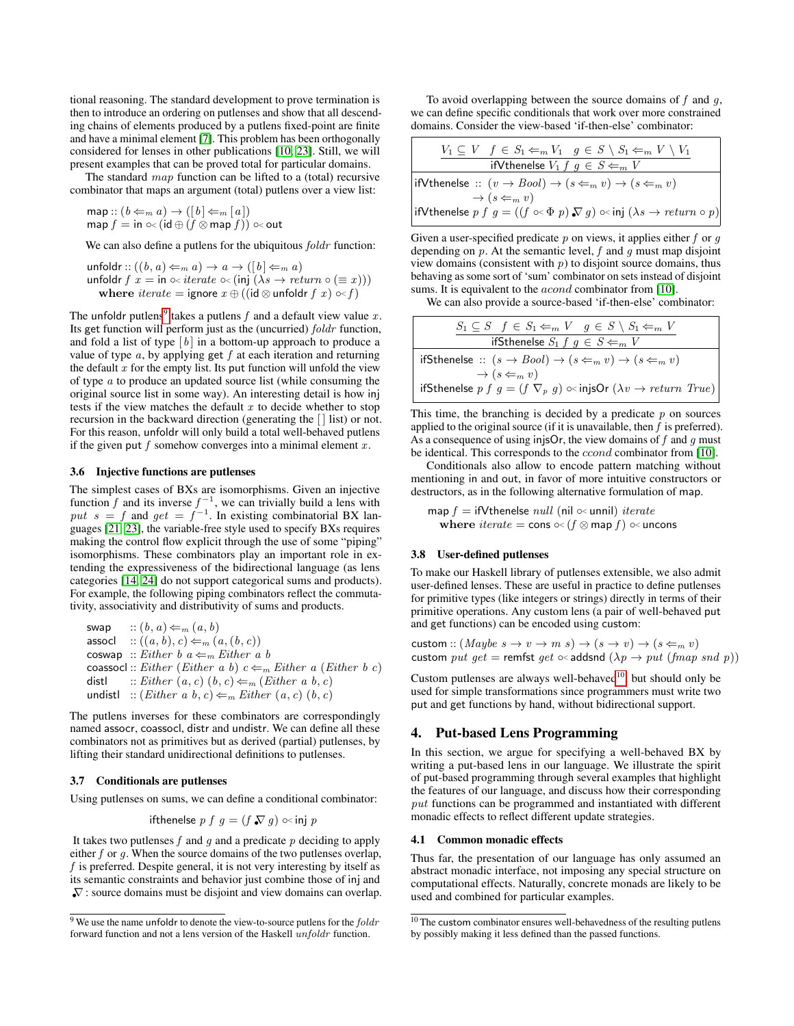tional reasoning. The standard development to prove termination is then to introduce an ordering on putlenses and show that all descending chains of elements produced by a putlens fixed-point are finite and have a minimal element [\[7\]](#page-11-23). This problem has been orthogonally considered for lenses in other publications [\[10,](#page-11-1) [23\]](#page-11-13). Still, we will present examples that can be proved total for particular domains.

The standard map function can be lifted to a (total) recursive combinator that maps an argument (total) putlens over a view list:

$$
\mathsf{map} :: (b \Leftarrow_m a) \to ([b] \Leftarrow_m [a])
$$
  

$$
\mathsf{map} \ f = \mathsf{in} \circ < (\mathsf{id} \oplus (f \otimes \mathsf{map} \ f)) \circ < \mathsf{out}
$$

We can also define a putlens for the ubiquitous *foldr* function:

$$
\begin{array}{l}\n\text{unfoldr} :: ((b, a) \Leftarrow_m a) \to a \to ([b] \Leftarrow_m a) \\
\text{unfoldr} f x = \text{in} \circlearrowleft \text{iterate} \circlearrowleft (\text{inj } (\lambda s \to return \circ (\equiv x))) \\
\text{where } \text{iterate} = \text{ignore } x \oplus ((\text{id} \otimes \text{unfoldr} f x) \circlearrowright f)\n\end{array}
$$

The unfoldr putlens<sup>[9](#page-6-1)</sup> takes a putlens f and a default view value x. Its get function will perform just as the (uncurried) foldr function, and fold a list of type  $[b]$  in a bottom-up approach to produce a value of type  $a$ , by applying get  $f$  at each iteration and returning the default  $x$  for the empty list. Its put function will unfold the view of type a to produce an updated source list (while consuming the original source list in some way). An interesting detail is how inj tests if the view matches the default  $x$  to decide whether to stop recursion in the backward direction (generating the [ ] list) or not. For this reason, unfoldr will only build a total well-behaved putlens if the given put  $f$  somehow converges into a minimal element  $x$ .

## 3.6 Injective functions are putlenses

The simplest cases of BXs are isomorphisms. Given an injective function f and its inverse  $f^{-1}$ , we can trivially build a lens with put  $s = f$  and  $get = f^{-1}$ . In existing combinatorial BX languages [\[21,](#page-11-24) [23\]](#page-11-13), the variable-free style used to specify BXs requires making the control flow explicit through the use of some "piping" isomorphisms. These combinators play an important role in extending the expressiveness of the bidirectional language (as lens categories [\[14,](#page-11-12) [24\]](#page-11-21) do not support categorical sums and products). For example, the following piping combinators reflect the commutativity, associativity and distributivity of sums and products.

$$
swap :: (b, a) \Leftarrow_m (a, b)
$$
  
\n
$$
assocl :: ((a, b), c) \Leftarrow_m (a, (b, c))
$$
  
\n
$$
coswap :: Either \ b \ a \Leftarrow_m Either \ a \ b
$$
  
\n
$$
cosascl :: Either \ (Either \ a \ b) \ c \Leftarrow_m Either \ a \ (Either \ b \ c)
$$
  
\ndistl :: Either \ (a, c) \ (b, c) \Leftarrow\_m (Either \ a \ b, c)  
\n
$$
undistl :: (Either \ a \ b, c) \Leftarrow_m Either \ (a, c) \ (b, c)
$$

The putlens inverses for these combinators are correspondingly named assocr, coassocl, distr and undistr. We can define all these combinators not as primitives but as derived (partial) putlenses, by lifting their standard unidirectional definitions to putlenses.

## 3.7 Conditionals are putlenses

Using putlenses on sums, we can define a conditional combinator:

$$
\text{ifthenelse}\,\,p\,\,f\,\,g=(f\,\,\pmb{\nabla}\,\,g)\,\,{\diamond}\,{\leq}\,\mathsf{inj}\,\,p
$$

It takes two putlenses  $f$  and  $g$  and a predicate  $p$  deciding to apply either  $f$  or  $g$ . When the source domains of the two putlenses overlap,  $f$  is preferred. Despite general, it is not very interesting by itself as its semantic constraints and behavior just combine those of inj and •∇ : source domains must be disjoint and view domains can overlap.

To avoid overlapping between the source domains of  $f$  and  $g$ , we can define specific conditionals that work over more constrained domains. Consider the view-based 'if-then-else' combinator:

| $V_1 \subseteq V$ $f \in S_1 \Leftarrow_m V_1$ $g \in S \setminus S_1 \Leftarrow_m V \setminus V_1$     |  |
|---------------------------------------------------------------------------------------------------------|--|
| if V thenelse $V_1 f g \in S \Leftarrow_m V$                                                            |  |
| ifVthenelse :: $(v \rightarrow Bool) \rightarrow (s \leftarrow_m v) \rightarrow (s \leftarrow_m v)$     |  |
| $\rightarrow$ (s $\Leftarrow_m v$ )                                                                     |  |
| if V thenelse $p f g = ((f \circ \Phi p) \nabla g) \circ \sin j (\lambda s \rightarrow return \circ p)$ |  |

Given a user-specified predicate  $p$  on views, it applies either  $f$  or  $g$ depending on  $p$ . At the semantic level,  $f$  and  $g$  must map disjoint view domains (consistent with  $p$ ) to disjoint source domains, thus behaving as some sort of 'sum' combinator on sets instead of disjoint sums. It is equivalent to the *acond* combinator from [\[10\]](#page-11-1).

We can also provide a source-based 'if-then-else' combinator:

| $S_1 \subseteq S \mid f \in S_1 \Leftarrow_m V \mid q \in S \setminus S_1 \Leftarrow_m V$           |
|-----------------------------------------------------------------------------------------------------|
| ifSthenelse $S_1 f g \in S \Leftarrow_m V$                                                          |
| ifSthenelse :: $(s \rightarrow Bool) \rightarrow (s \leftarrow_m v) \rightarrow (s \leftarrow_m v)$ |
| $\rightarrow$ (s $\Leftarrow_m v$ )                                                                 |
| ifSthenelse p $f$ $g = (f \nabla_p g) \propto$ injsOr $(\lambda v \rightarrow return \ True)$       |

This time, the branching is decided by a predicate  $p$  on sources applied to the original source (if it is unavailable, then  $f$  is preferred). As a consequence of using injsOr, the view domains of  $f$  and  $g$  must be identical. This corresponds to the ccond combinator from [\[10\]](#page-11-1).

Conditionals also allow to encode pattern matching without mentioning in and out, in favor of more intuitive constructors or destructors, as in the following alternative formulation of map.

map  $f =$  if V thenelse null (nil  $\infty$  unnil) iterate where  $\mathit{iterate} = \text{cons} \circ \left( f \otimes \text{map } f \right) \circ \left( \text{uncons} \right)$ 

# 3.8 User-defined putlenses

To make our Haskell library of putlenses extensible, we also admit user-defined lenses. These are useful in practice to define putlenses for primitive types (like integers or strings) directly in terms of their primitive operations. Any custom lens (a pair of well-behaved put and get functions) can be encoded using custom:

custom ::  $(Maybe s \rightarrow v \rightarrow m s) \rightarrow (s \rightarrow v) \rightarrow (s \leftarrow_m v)$ custom put get = remfst get  $\infty$  addsnd  $(\lambda p \rightarrow put (fmap send p))$ 

Custom putlenses are always well-behaved<sup>[10](#page-6-2)</sup>, but should only be used for simple transformations since programmers must write two put and get functions by hand, without bidirectional support.

# <span id="page-6-0"></span>4. Put-based Lens Programming

In this section, we argue for specifying a well-behaved BX by writing a put-based lens in our language. We illustrate the spirit of put-based programming through several examples that highlight the features of our language, and discuss how their corresponding put functions can be programmed and instantiated with different monadic effects to reflect different update strategies.

## 4.1 Common monadic effects

Thus far, the presentation of our language has only assumed an abstract monadic interface, not imposing any special structure on computational effects. Naturally, concrete monads are likely to be used and combined for particular examples.

<span id="page-6-1"></span> $9$  We use the name unfoldr to denote the view-to-source putlens for the  $foldr$ forward function and not a lens version of the Haskell *unfoldr* function.

<span id="page-6-2"></span> $^{10}$  The custom combinator ensures well-behavedness of the resulting putlens by possibly making it less defined than the passed functions.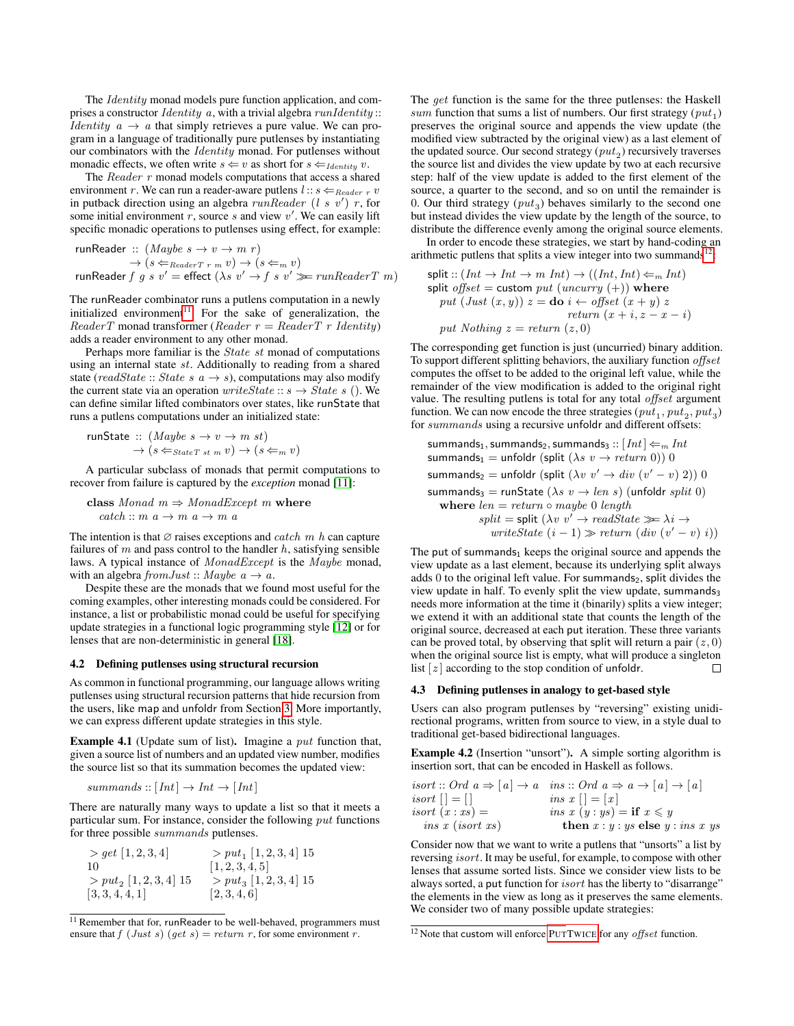The *Identity* monad models pure function application, and comprises a constructor *Identity a*, with a trivial algebra  $runIdentity$ : *Identity*  $a \rightarrow a$  that simply retrieves a pure value. We can program in a language of traditionally pure putlenses by instantiating our combinators with the *Identity* monad. For putlenses without monadic effects, we often write  $s \Leftarrow v$  as short for  $s \Leftarrow_{Identity} v$ .

The Reader r monad models computations that access a shared environment r. We can run a reader-aware putlens  $l$  ::  $s \Leftarrow_{Reader \ r} v$ in putback direction using an algebra  $runReader$  (l s v') r, for some initial environment r, source s and view  $v'$ . We can easily lift specific monadic operations to putlenses using effect, for example:

runReader :: (Maybe *s* → *v* → *m r*)  
\n→ 
$$
(s \leftarrow_{ReaderT r m} v) \rightarrow (s \leftarrow_{m} v)
$$
  
\nrunReader *f g s v'* = effect (λs *v'* → *f s v'* ≫ runReaderT m)

The runReader combinator runs a putlens computation in a newly initialized environment $11$ . For the sake of generalization, the  $ReaderT$  monad transformer (*Reader*  $r = ReaderT$  r *Identity*) adds a reader environment to any other monad.

Perhaps more familiar is the State st monad of computations using an internal state st. Additionally to reading from a shared state (readState :: State s  $a \rightarrow s$ ), computations may also modify the current state via an operation writeState  $:: s \rightarrow State s$  (). We can define similar lifted combinators over states, like runState that runs a putlens computations under an initialized state:

$$
\mathsf{runState} :: (Maybe \ s \to v \to m \ st) \\
 \to (s \Leftarrow_{StateT \ st \ m} v) \to (s \Leftarrow_m v)
$$

A particular subclass of monads that permit computations to recover from failure is captured by the *exception* monad [\[11\]](#page-11-20):

**class** Monad 
$$
m \Rightarrow MonadException
$$
 where  
*catch* ::  $m$   $a \rightarrow m$   $a \rightarrow m$   $a$ 

The intention is that  $\varnothing$  raises exceptions and *catch* m h can capture failures of  $m$  and pass control to the handler  $h$ , satisfying sensible laws. A typical instance of MonadExcept is the Maybe monad, with an algebra from Just :: Maybe  $a \rightarrow a$ .

Despite these are the monads that we found most useful for the coming examples, other interesting monads could be considered. For instance, a list or probabilistic monad could be useful for specifying update strategies in a functional logic programming style [\[12\]](#page-11-19) or for lenses that are non-deterministic in general [\[18\]](#page-11-3).

# 4.2 Defining putlenses using structural recursion

As common in functional programming, our language allows writing putlenses using structural recursion patterns that hide recursion from the users, like map and unfoldr from Section [3.](#page-2-0) More importantly, we can express different update strategies in this style.

**Example 4.1** (Update sum of list). Imagine a put function that, given a source list of numbers and an updated view number, modifies the source list so that its summation becomes the updated view:

$$
summands :: [Int] \rightarrow Int \rightarrow [Int]
$$

There are naturally many ways to update a list so that it meets a particular sum. For instance, consider the following put functions for three possible summands putlenses.

| > get [1, 2, 3, 4]          | $> put_1$ [1, 2, 3, 4] 15 |
|-----------------------------|---------------------------|
| 10                          | [1, 2, 3, 4, 5]           |
| $> put_{2}$ [1, 2, 3, 4] 15 | $> put_3$ [1, 2, 3, 4] 15 |
| [3,3,4,4,1]                 | [2, 3, 4, 6]              |

<span id="page-7-0"></span> $11$  Remember that for, runReader to be well-behaved, programmers must ensure that  $f$  (*Just s*) (get  $s$ ) = return r, for some environment r.

The get function is the same for the three putlenses: the Haskell sum function that sums a list of numbers. Our first strategy  $(put_1)$ preserves the original source and appends the view update (the modified view subtracted by the original view) as a last element of the updated source. Our second strategy  $(\mathit{put}_2)$  recursively traverses the source list and divides the view update by two at each recursive step: half of the view update is added to the first element of the source, a quarter to the second, and so on until the remainder is 0. Our third strategy  $(put_3)$  behaves similarly to the second one but instead divides the view update by the length of the source, to distribute the difference evenly among the original source elements.

In order to encode these strategies, we start by hand-coding an arithmetic putlens that splits a view integer into two summands $12$ :

split :: 
$$
(Int \to Int \to m Int) \to ((Int, Int) \Leftarrow_m Int)
$$
  
\nsplit *offset* = custom *put* (*uncarry* (+)) **where**  
\n*put* (*Just* (*x, y*))  $z$  = **do**  $i \leftarrow$  offset (*x* + *y*)  $z$   
\n*return* (*x* + *i*,  $z - x - i$ )  
\n*put Nothing*  $z$  = *return* (*z, 0*)

The corresponding get function is just (uncurried) binary addition. To support different splitting behaviors, the auxiliary function  $offset$ computes the offset to be added to the original left value, while the remainder of the view modification is added to the original right value. The resulting putlens is total for any total *offset* argument function. We can now encode the three strategies  $(\text{put}_1, \text{put}_2, \text{put}_3)$ for summands using a recursive unfoldr and different offsets:

summands<sub>1</sub>, summands<sub>2</sub>, summands<sub>3</sub> :: [Int] 
$$
\Leftarrow
$$
 *n* Int  
summands<sub>1</sub> = unfoldt (split ( $\lambda s \ v \rightarrow return 0$ )) 0  
summands<sub>2</sub> = unfoldt (split ( $\lambda v \ v' \rightarrow div (v' - v)$  2)) 0  
summands<sub>3</sub> = runState ( $\lambda s \ v \rightarrow len s$ ) (unfoldr split 0)  
where len = return  $\circ$  maybe 0 length  
split = split ( $\lambda v \ v' \rightarrow readState \ggg \lambda i \rightarrow$   
writeState ( $i - 1$ )  $\gg return (div (v' - v)$  *i*))

The put of summands $<sub>1</sub>$  keeps the original source and appends the</sub> view update as a last element, because its underlying split always adds  $0$  to the original left value. For summands<sub>2</sub>, split divides the view update in half. To evenly split the view update, summands3 needs more information at the time it (binarily) splits a view integer; we extend it with an additional state that counts the length of the original source, decreased at each put iteration. These three variants can be proved total, by observing that split will return a pair  $(z, 0)$ when the original source list is empty, what will produce a singleton list  $[z]$  according to the stop condition of unfoldr.

## 4.3 Defining putlenses in analogy to get-based style

Users can also program putlenses by "reversing" existing unidirectional programs, written from source to view, in a style dual to traditional get-based bidirectional languages.

Example 4.2 (Insertion "unsort"). A simple sorting algorithm is insertion sort, that can be encoded in Haskell as follows.

|                             | isort :: Ord $a \Rightarrow [a] \rightarrow a$ ins :: Ord $a \Rightarrow a \rightarrow [a] \rightarrow [a]$ |
|-----------------------------|-------------------------------------------------------------------------------------------------------------|
| isort $ \cdot  =  \cdot $   | $ins x \mid =  x $                                                                                          |
| is ort $(x:xs) =$           | ins x $(y:ys) = \textbf{if } x \leq y$                                                                      |
| $ins \; x \; (isort \; xs)$ | then $x : y : ys$ else $y : ins x ys$                                                                       |

Consider now that we want to write a putlens that "unsorts" a list by reversing isort. It may be useful, for example, to compose with other lenses that assume sorted lists. Since we consider view lists to be always sorted, a put function for isort has the liberty to "disarrange" the elements in the view as long as it preserves the same elements. We consider two of many possible update strategies:

<span id="page-7-1"></span> $12$  Note that custom will enforce PUTT[WICE](#page-1-2) for any *offset* function.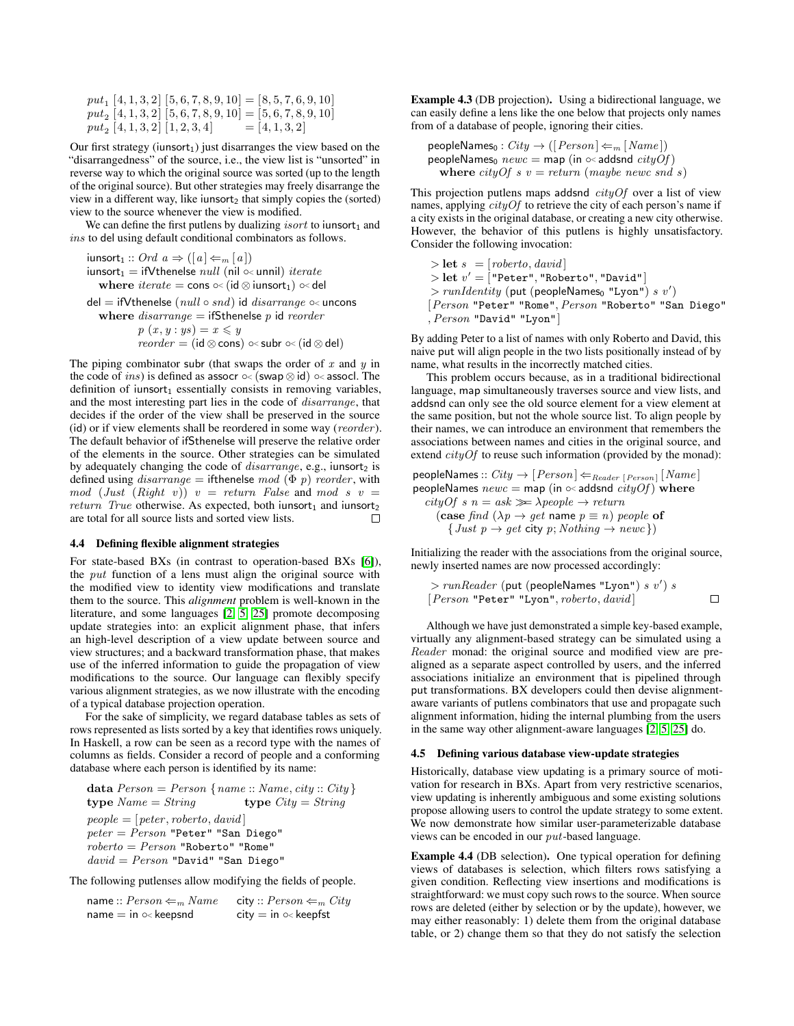|  | $put_1[4, 1, 3, 2][5, 6, 7, 8, 9, 10] = [8, 5, 7, 6, 9, 10]$   |                  |
|--|----------------------------------------------------------------|------------------|
|  | $put_2$ [4, 1, 3, 2] [5, 6, 7, 8, 9, 10] = [5, 6, 7, 8, 9, 10] |                  |
|  | $put_2$ [4, 1, 3, 2] [1, 2, 3, 4]                              | $=$ [4, 1, 3, 2] |

Our first strategy (iunsort<sub>1</sub>) just disarranges the view based on the "disarrangedness" of the source, i.e., the view list is "unsorted" in reverse way to which the original source was sorted (up to the length of the original source). But other strategies may freely disarrange the view in a different way, like iunsort<sub>2</sub> that simply copies the (sorted) view to the source whenever the view is modified.

We can define the first putlens by dualizing *isort* to iunsort<sub>1</sub> and ins to del using default conditional combinators as follows.

 $\text{innsort}_1 :: Ord \ a \Rightarrow ([a] \Leftarrow_m [a])$ iunsort $_1$  = ifVthenelse null (nil  $\infty$  unnil) iterate where  $\text{iterate} = \text{cons} \circ \langle \text{id} \otimes \text{innsort}_1 \rangle \circ \langle \text{del} \rangle$ del = ifVthenelse  $(null \circ snd)$  id  $disarrange \circ \lt$ uncons where  $disarrange$  = ifSthenelse p id reorder

 $p(x, y: ys) = x \leq y$  $reorder = (id \otimes cons) \sim subr \sim (id \otimes del)$ 

The piping combinator subr (that swaps the order of  $x$  and  $y$  in the code of ins) is defined as assocr  $\propto$  (swap  $\otimes$  id)  $\circ$  assocl. The definition of iunsort<sub>1</sub> essentially consists in removing variables, and the most interesting part lies in the code of disarrange, that decides if the order of the view shall be preserved in the source (id) or if view elements shall be reordered in some way (reorder ). The default behavior of ifSthenelse will preserve the relative order of the elements in the source. Other strategies can be simulated by adequately changing the code of  $disarrange$ , e.g., iunsort<sub>2</sub> is defined using *disarrange* = ifthenelse mod  $(\Phi p)$  reorder, with  $mod$  (*Just* (*Right v*))  $v = return$  *False* and *mod s*  $v =$ return True otherwise. As expected, both iunsort<sub>1</sub> and iunsort<sub>2</sub> are total for all source lists and sorted view lists.  $\Box$ 

## 4.4 Defining flexible alignment strategies

For state-based BXs (in contrast to operation-based BXs [\[6\]](#page-11-0)), the *put* function of a lens must align the original source with the modified view to identity view modifications and translate them to the source. This *alignment* problem is well-known in the literature, and some languages [\[2,](#page-11-25) [5,](#page-11-11) [25\]](#page-11-26) promote decomposing update strategies into: an explicit alignment phase, that infers an high-level description of a view update between source and view structures; and a backward transformation phase, that makes use of the inferred information to guide the propagation of view modifications to the source. Our language can flexibly specify various alignment strategies, as we now illustrate with the encoding of a typical database projection operation.

For the sake of simplicity, we regard database tables as sets of rows represented as lists sorted by a key that identifies rows uniquely. In Haskell, a row can be seen as a record type with the names of columns as fields. Consider a record of people and a conforming database where each person is identified by its name:

data  $Person = Person \{ name :: Name, city :: City \}$ type  $Name = String$  type  $City = String$  $people = [peter, roberto, david]$ peter = Person "Peter" "San Diego"  $roberto = Person$  "Roberto" "Rome"  $david = Person$  "David" "San Diego"

The following putlenses allow modifying the fields of people.

name ::  $Person \Leftarrow_m Name$  city ::  $Person \Leftarrow_m City$  $name = in \infty$  keepsnd city  $= in \infty$  keepfst

Example 4.3 (DB projection). Using a bidirectional language, we can easily define a lens like the one below that projects only names from of a database of people, ignoring their cities.

```
\mathsf{peopleNames}_0: City \rightarrow (\lbrace Person \rbrace \Leftarrow_m [\mathit{Name}])peopleNames<sub>0</sub> newc = \text{map (in } \in \text{addsnd } cityOf)where city Of s v = return (maybe newc snd s)
```
This projection putlens maps addsnd  $cityOf$  over a list of view names, applying  $cityOf$  to retrieve the city of each person's name if a city exists in the original database, or creating a new city otherwise. However, the behavior of this putlens is highly unsatisfactory. Consider the following invocation:

 $>$  let  $s = [roberto, david]$ 

 $>$  let  $v' = [$  "Peter", "Roberto", "David"]

 $> runIdentity$  (put (peopleNames<sub>0</sub> "Lyon") s v')

[Person "Peter" "Rome", Person "Roberto" "San Diego" ,Person "David" "Lyon"]

By adding Peter to a list of names with only Roberto and David, this naive put will align people in the two lists positionally instead of by name, what results in the incorrectly matched cities.

This problem occurs because, as in a traditional bidirectional language, map simultaneously traverses source and view lists, and addsnd can only see the old source element for a view element at the same position, but not the whole source list. To align people by their names, we can introduce an environment that remembers the associations between names and cities in the original source, and extend *cityOf* to reuse such information (provided by the monad):

peopleNames ::  $City \rightarrow [Person] \Leftarrow_{Reader \; [Person]} [Name]$ peopleNames  $newc = \text{map (in} \circ \text{addsnd } cityOf)$  where cityOf s  $n = ask \gg \lambda$  people  $\rightarrow$  return (case find  $(\lambda p \rightarrow get$  name  $p \equiv n)$  people of {*Just p*  $\rightarrow$  *get* city *p*; *Nothing*  $\rightarrow$  *newc*})

Initializing the reader with the associations from the original source, newly inserted names are now processed accordingly:

$$
> runReader \text{ (put (peopleNames "Lyon") s v') s}
$$
\n
$$
[Person "Peter" "Lyon", robotto, david]
$$

Although we have just demonstrated a simple key-based example, virtually any alignment-based strategy can be simulated using a Reader monad: the original source and modified view are prealigned as a separate aspect controlled by users, and the inferred associations initialize an environment that is pipelined through put transformations. BX developers could then devise alignmentaware variants of putlens combinators that use and propagate such alignment information, hiding the internal plumbing from the users in the same way other alignment-aware languages [\[2,](#page-11-25) [5,](#page-11-11) [25\]](#page-11-26) do.

## 4.5 Defining various database view-update strategies

Historically, database view updating is a primary source of motivation for research in BXs. Apart from very restrictive scenarios, view updating is inherently ambiguous and some existing solutions propose allowing users to control the update strategy to some extent. We now demonstrate how similar user-parameterizable database views can be encoded in our put-based language.

Example 4.4 (DB selection). One typical operation for defining views of databases is selection, which filters rows satisfying a given condition. Reflecting view insertions and modifications is straightforward: we must copy such rows to the source. When source rows are deleted (either by selection or by the update), however, we may either reasonably: 1) delete them from the original database table, or 2) change them so that they do not satisfy the selection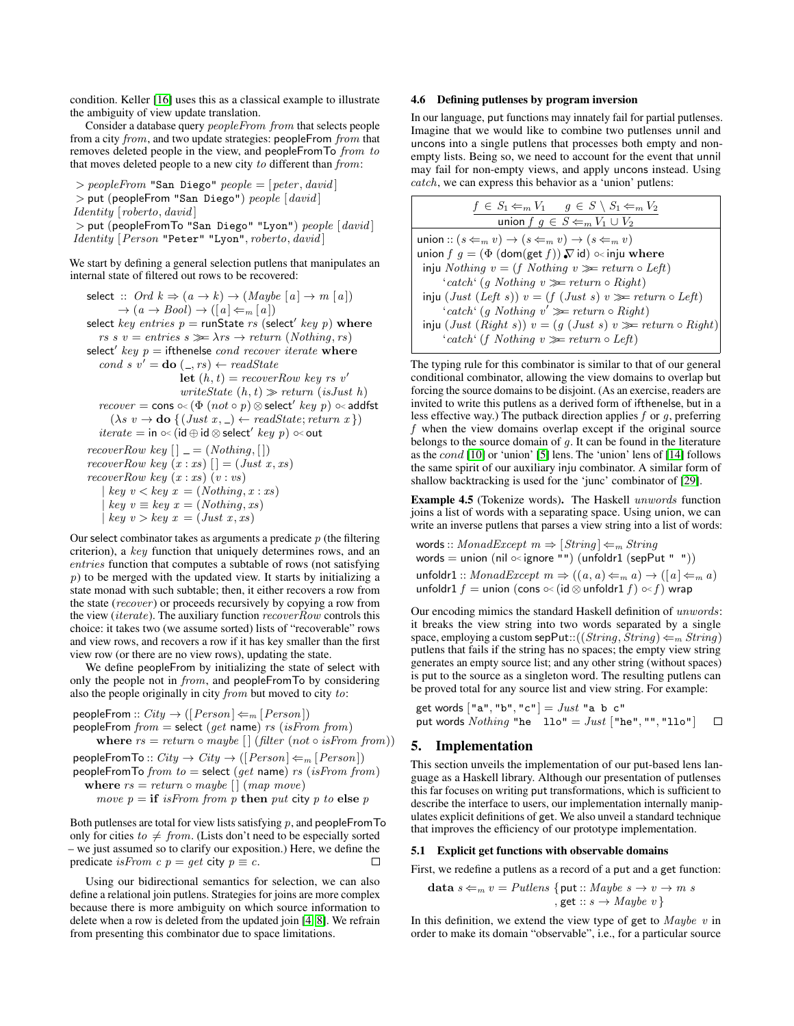condition. Keller [\[16\]](#page-11-6) uses this as a classical example to illustrate the ambiguity of view update translation.

Consider a database query peopleFrom from that selects people from a city from, and two update strategies: peopleFrom from that removes deleted people in the view, and peopleFromTo from to that moves deleted people to a new city  $to$  different than  $from$ :

 $> peopleFrom$  "San Diego"  $people = [peter, david]$  $>$  put (peopleFrom "San Diego") people  $[david]$ Identity [roberto, david ]

 $>$  put (peopleFromTo "San Diego" "Lyon")  $people$  [david] Identity [Person "Peter" "Lyon", roberto, david ]

We start by defining a general selection putlens that manipulates an internal state of filtered out rows to be recovered:

select :: Ord  $k \Rightarrow (a \rightarrow k) \rightarrow (Maybe [a] \rightarrow m [a])$  $\rightarrow (a \rightarrow Bool) \rightarrow ([a] \leftarrow [a])$ select  $key$  entries  $p =$  runState  $rs$  (select'  $key$   $p$ ) where rs s v = entries  $s \gg \lambda rs \rightarrow return (Nothing, rs)$ select'  $key p =$  ifthenelse cond recover iterate where cond s v' = do  $($ , rs)  $\leftarrow$  readState let  $(h, t) = recoverRow$  key rs v' writeState  $(h, t) \gg$  return (isJust h)  $recover = \mathsf{cons} \circ < (\Phi \; (not \circ p) \otimes \mathsf{select}' \; key \; p) \circ < \mathsf{addfst}$  $(\lambda s \ v \rightarrow \text{do} \{ (Just \ x, \_) \leftarrow \text{readState}; \text{return } x \})$  $\emph{iterate} = \emph{in} \; \diamond\!\!\!\cdot (\emph{id} \oplus \emph{id} \otimes \emph{select}' \; \emph{key} \; p) \; \diamond\!\!\!\cdot \; \emph{out}$ recoverRow key  $[\ ] = (Nothing, [])$ recoverRow key  $(x : xs)$   $|$  =  $(Just x, xs)$ recoverRow key  $(x:xs)$   $(v:vs)$  $\vert \text{key } v \lt \text{key } x = (\text{Nothing}, x : xs)$  $key \, v \equiv key \, x = (Nothing, xs)$  $key v > key x = (Just x, xs)$ 

Our select combinator takes as arguments a predicate  $p$  (the filtering criterion), a key function that uniquely determines rows, and an entries function that computes a subtable of rows (not satisfying  $p$ ) to be merged with the updated view. It starts by initializing a state monad with such subtable; then, it either recovers a row from the state (recover) or proceeds recursively by copying a row from the view (iterate). The auxiliary function recoverRow controls this choice: it takes two (we assume sorted) lists of "recoverable" rows and view rows, and recovers a row if it has key smaller than the first view row (or there are no view rows), updating the state.

We define peopleFrom by initializing the state of select with only the people not in *from*, and peopleFromTo by considering also the people originally in city from but moved to city to:

peopleFrom ::  $City \rightarrow ([Person] \leftarrow_m [Person])$ peopleFrom  $from =$  select (get name)  $rs$  (isFrom from) where  $rs = return \circ maybe$  [] (filter (not  $\circ$  is From from)) peopleFromTo ::  $City \rightarrow City \rightarrow ([Person] \leftarrow_m [Person])$ 

peopleFromTo from to = select (get name) rs (isFrom from) where  $rs = return \circ maybe$   $[$   $($  map move) move  $p = \mathbf{if}$  is From from p then put city p to else p

Both putlenses are total for view lists satisfying  $p$ , and peopleFromTo only for cities  $to \neq from$ . (Lists don't need to be especially sorted – we just assumed so to clarify our exposition.) Here, we define the predicate *isFrom c*  $p = get$  city  $p \equiv c$ .

Using our bidirectional semantics for selection, we can also define a relational join putlens. Strategies for joins are more complex because there is more ambiguity on which source information to delete when a row is deleted from the updated join [\[4,](#page-11-10) [8\]](#page-11-16). We refrain from presenting this combinator due to space limitations.

# 4.6 Defining putlenses by program inversion

In our language, put functions may innately fail for partial putlenses. Imagine that we would like to combine two putlenses unnil and uncons into a single putlens that processes both empty and nonempty lists. Being so, we need to account for the event that unnil may fail for non-empty views, and apply uncons instead. Using catch, we can express this behavior as a 'union' putlens:

| $f \in S_1 \leftarrow_m V_1 \quad g \in S \setminus S_1 \leftarrow_m V_2$                            |
|------------------------------------------------------------------------------------------------------|
| union $f \, g \in S \leftarrow_m V_1 \cup V_2$                                                       |
| union :: $(s \Leftarrow_m v) \rightarrow (s \Leftarrow_m v) \rightarrow (s \Leftarrow_m v)$          |
| union $f \, g = (\Phi \, (\text{dom}(\text{get } f)) \, \nabla \, \text{id}) \sim \text{inju where}$ |
| inju Nothing $v = (f \text{ Nothing } v) \geq r \text{ return } \circ \text{Left}$                   |
| 'catch' (g Nothing $v \ggg$ return $\circ$ Right)                                                    |
| inju $(Just (Left s)) v = (f (Just s) v)$ = return $\circ$ Left)                                     |
| 'catch' (g Nothing v' $\gg$ return $\circ$ Right)                                                    |
| inju $(Just (Right s)) v = (g (Just s) v)$ $\equiv$ return $\circ$ Right)                            |
| 'catch' (f Nothing $v \ggneq$ return $\circ$ Left)                                                   |

The typing rule for this combinator is similar to that of our general conditional combinator, allowing the view domains to overlap but forcing the source domains to be disjoint. (As an exercise, readers are invited to write this putlens as a derived form of ifthenelse, but in a less effective way.) The putback direction applies  $f$  or  $g$ , preferring f when the view domains overlap except if the original source belongs to the source domain of  $g$ . It can be found in the literature as the cond [\[10\]](#page-11-1) or 'union' [\[5\]](#page-11-11) lens. The 'union' lens of [\[14\]](#page-11-12) follows the same spirit of our auxiliary inju combinator. A similar form of shallow backtracking is used for the 'junc' combinator of [\[29\]](#page-11-27).

Example 4.5 (Tokenize words). The Haskell unwords function joins a list of words with a separating space. Using union, we can write an inverse putlens that parses a view string into a list of words:

words :: MonadException 
$$
m \Rightarrow [String] \Leftarrow_m String
$$
  
words = union (nil  $\circ$  ignore "") (unfoldr1 (sepPut ""))  
unfoldr1 :: MonadException  $m \Rightarrow ((a, a) \Leftarrow_m a) \rightarrow ([a] \Leftarrow_m a)$   
unfoldr1  $f$  = union (cons  $\circ$  (id  $\otimes$ unfoldr1  $f$ )  $\circ$   $f$ ) wrap

Our encoding mimics the standard Haskell definition of unwords: it breaks the view string into two words separated by a single space, employing a custom sepPut::(( $String, String$ )  $\Leftarrow_m String$ ) putlens that fails if the string has no spaces; the empty view string generates an empty source list; and any other string (without spaces) is put to the source as a singleton word. The resulting putlens can be proved total for any source list and view string. For example:

get words  $['a", "b", "c"] = Just "a b c"$ put words  $Nothing$  "he  $11o" = Just$  ["he", "", "11o"]  $\Box$ 

# <span id="page-9-0"></span>5. Implementation

This section unveils the implementation of our put-based lens language as a Haskell library. Although our presentation of putlenses this far focuses on writing put transformations, which is sufficient to describe the interface to users, our implementation internally manipulates explicit definitions of get. We also unveil a standard technique that improves the efficiency of our prototype implementation.

# 5.1 Explicit get functions with observable domains

First, we redefine a putlens as a record of a put and a get function:

$$
\text{data } s \Leftarrow_m v = \text{Putlens } \{ \text{put} :: \text{Maybe } s \to v \to m \text{ } s \\ s \text{get } :: s \to \text{ Maybe } v \}
$$

In this definition, we extend the view type of get to  $\text{Maybe } v$  in order to make its domain "observable", i.e., for a particular source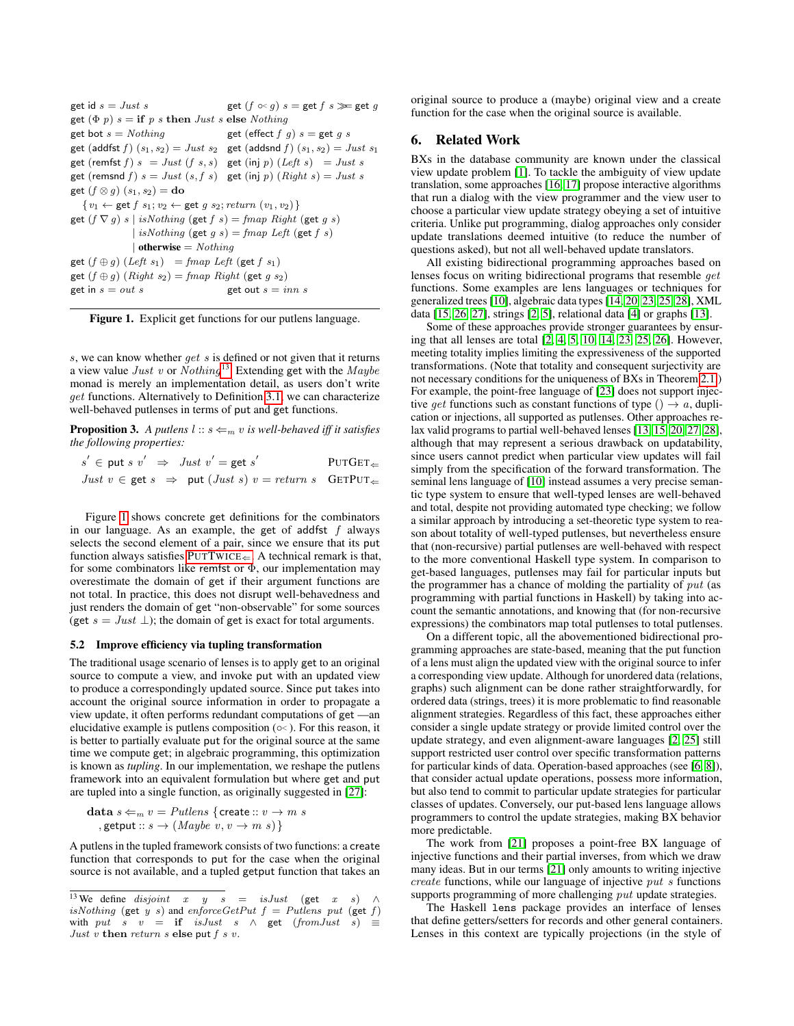```
get id s = Just s get (f \circ \le g) s = get f s \gg get gget (\Phi p) s = if p s then Just s else Nothing
get bot s = Nothing get (effect f \, g) s = get g \, sget (addfst f) (s_1, s_2) = Just \, s_2 get (addsnd f) (s_1, s_2) = Just \, s_1get (remfst f) s = Just (f s, s) get (inj p) (Left s) = Just sget (remsnd f) s = Just (s, f, s) get (inj p) (Right s) = Just sget (f \otimes g) (s_1, s_2) =do
  {v_1 \leftarrow \text{get } f s_1; v_2 \leftarrow \text{get } g s_2; return (v_1, v_2)}get (f \nabla g) s | is Nothing (get f s) = fmap Right (get g s)| isNothing (get g s) = fmap Left (get f s)
              | otherwise = Nothing
get (f \oplus g) (Left s_1) = fmap Left (get f s<sub>1</sub>)
get (f \oplus g) (Right s_2) = fmap Right (get g s_2)
get in s = out s get out s = inn s
```
<span id="page-10-2"></span>Figure 1. Explicit get functions for our putlens language.

s, we can know whether get s is defined or not given that it returns a view value Just v or  $Nothing^{13}$  $Nothing^{13}$  $Nothing^{13}$ . Extending get with the Maybe monad is merely an implementation detail, as users don't write get functions. Alternatively to Definition [3.1,](#page-3-4) we can characterize well-behaved putlenses in terms of put and get functions.

**Proposition 3.** *A putlens*  $l :: s \Leftarrow_m v$  *is well-behaved iff it satisfies the following properties:*

$$
s' \in \text{put } s \ v' \Rightarrow \text{ Just } v' = \text{get } s'
$$
 
$$
\text{PUTGET}_{\Leftarrow}
$$
  
Just  $v \in \text{get } s \Rightarrow \text{put } (\text{Just } s) \ v = \text{return } s$  
$$
\text{GET}_{\Leftarrow}
$$

Figure [1](#page-10-2) shows concrete get definitions for the combinators in our language. As an example, the get of addfst  $f$  always selects the second element of a pair, since we ensure that its put function always satisfies  $PUTTWICE \leftarrow$  $PUTTWICE \leftarrow$  $PUTTWICE \leftarrow$ . A technical remark is that, for some combinators like remfst or  $\Phi$ , our implementation may overestimate the domain of get if their argument functions are not total. In practice, this does not disrupt well-behavedness and just renders the domain of get "non-observable" for some sources (get  $s = Just \perp$ ); the domain of get is exact for total arguments.

#### 5.2 Improve efficiency via tupling transformation

The traditional usage scenario of lenses is to apply get to an original source to compute a view, and invoke put with an updated view to produce a correspondingly updated source. Since put takes into account the original source information in order to propagate a view update, it often performs redundant computations of get —an elucidative example is putlens composition  $(\infty)$ . For this reason, it is better to partially evaluate put for the original source at the same time we compute get; in algebraic programming, this optimization is known as *tupling*. In our implementation, we reshape the putlens framework into an equivalent formulation but where get and put are tupled into a single function, as originally suggested in [\[27\]](#page-11-28):

$$
\text{data } s \Leftarrow_m v = \text{Putlens } \{ \text{create} :: v \rightarrow m \ s \}
$$
\n
$$
\text{, getput} :: s \rightarrow (\text{Maybe } v, v \rightarrow m \ s) \}
$$

A putlens in the tupled framework consists of two functions: a create function that corresponds to put for the case when the original source is not available, and a tupled getput function that takes an original source to produce a (maybe) original view and a create function for the case when the original source is available.

# <span id="page-10-0"></span>6. Related Work

BXs in the database community are known under the classical view update problem [\[1\]](#page-11-2). To tackle the ambiguity of view update translation, some approaches [\[16,](#page-11-6) [17\]](#page-11-7) propose interactive algorithms that run a dialog with the view programmer and the view user to choose a particular view update strategy obeying a set of intuitive criteria. Unlike put programming, dialog approaches only consider update translations deemed intuitive (to reduce the number of questions asked), but not all well-behaved update translators.

All existing bidirectional programming approaches based on lenses focus on writing bidirectional programs that resemble get functions. Some examples are lens languages or techniques for generalized trees [\[10\]](#page-11-1), algebraic data types [\[14,](#page-11-12) [20,](#page-11-8) [23,](#page-11-13) [25,](#page-11-26) [28\]](#page-11-9), XML data [\[15,](#page-11-29) [26,](#page-11-14) [27\]](#page-11-28), strings [\[2,](#page-11-25) [5\]](#page-11-11), relational data [\[4\]](#page-11-10) or graphs [\[13\]](#page-11-5).

Some of these approaches provide stronger guarantees by ensuring that all lenses are total [\[2,](#page-11-25) [4,](#page-11-10) [5,](#page-11-11) [10,](#page-11-1) [14,](#page-11-12) [23,](#page-11-13) [25,](#page-11-26) [26\]](#page-11-14). However, meeting totality implies limiting the expressiveness of the supported transformations. (Note that totality and consequent surjectivity are not necessary conditions for the uniqueness of BXs in Theorem [2.1.](#page-2-1)) For example, the point-free language of [\[23\]](#page-11-13) does not support injective get functions such as constant functions of type ()  $\rightarrow a$ , duplication or injections, all supported as putlenses. Other approaches relax valid programs to partial well-behaved lenses [\[13,](#page-11-5) [15,](#page-11-29) [20,](#page-11-8) [27,](#page-11-28) [28\]](#page-11-9), although that may represent a serious drawback on updatability, since users cannot predict when particular view updates will fail simply from the specification of the forward transformation. The seminal lens language of [\[10\]](#page-11-1) instead assumes a very precise semantic type system to ensure that well-typed lenses are well-behaved and total, despite not providing automated type checking; we follow a similar approach by introducing a set-theoretic type system to reason about totality of well-typed putlenses, but nevertheless ensure that (non-recursive) partial putlenses are well-behaved with respect to the more conventional Haskell type system. In comparison to get-based languages, putlenses may fail for particular inputs but the programmer has a chance of molding the partiality of  $put$  (as programming with partial functions in Haskell) by taking into account the semantic annotations, and knowing that (for non-recursive expressions) the combinators map total putlenses to total putlenses.

On a different topic, all the abovementioned bidirectional programming approaches are state-based, meaning that the put function of a lens must align the updated view with the original source to infer a corresponding view update. Although for unordered data (relations, graphs) such alignment can be done rather straightforwardly, for ordered data (strings, trees) it is more problematic to find reasonable alignment strategies. Regardless of this fact, these approaches either consider a single update strategy or provide limited control over the update strategy, and even alignment-aware languages [\[2,](#page-11-25) [25\]](#page-11-26) still support restricted user control over specific transformation patterns for particular kinds of data. Operation-based approaches (see [\[6,](#page-11-0) [8\]](#page-11-16)), that consider actual update operations, possess more information, but also tend to commit to particular update strategies for particular classes of updates. Conversely, our put-based lens language allows programmers to control the update strategies, making BX behavior more predictable.

The work from [\[21\]](#page-11-24) proposes a point-free BX language of injective functions and their partial inverses, from which we draw many ideas. But in our terms [\[21\]](#page-11-24) only amounts to writing injective create functions, while our language of injective put s functions supports programming of more challenging put update strategies.

The Haskell lens package provides an interface of lenses that define getters/setters for records and other general containers. Lenses in this context are typically projections (in the style of

<span id="page-10-1"></span><sup>&</sup>lt;sup>13</sup> We define  $disjoint$  x y s = isJust (get x s) ∧ isNothing (get y s) and enforceGetPut  $f = Putlens$  put (get f) with put s v = if isJust s  $\wedge$  get (from Just s) = *Just v* then *return*  $s$  else put  $f s v$ .